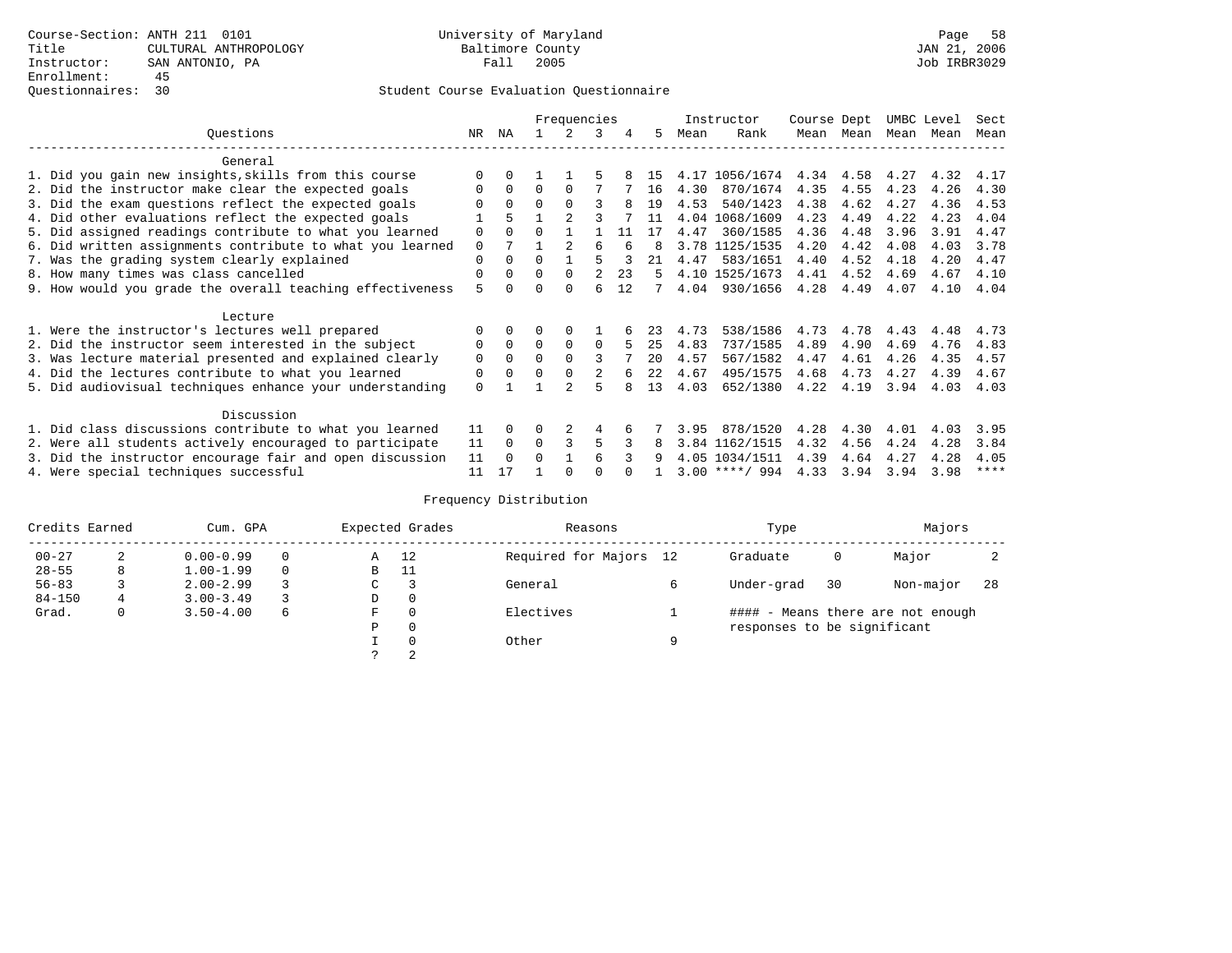|                                                           |             |          |          | Frequencies    |                |    |    |      | Instructor       | Course Dept |      | UMBC Level |      | Sect        |
|-----------------------------------------------------------|-------------|----------|----------|----------------|----------------|----|----|------|------------------|-------------|------|------------|------|-------------|
| Ouestions                                                 | NR          | ΝA       |          |                | 3              | 4  | 5  | Mean | Rank             | Mean        | Mean | Mean       | Mean | Mean        |
| General                                                   |             |          |          |                |                |    |    |      |                  |             |      |            |      |             |
| 1. Did you gain new insights, skills from this course     |             | 0        |          |                |                |    | 15 |      | 4.17 1056/1674   | 4.34        | 4.58 | 4.27       | 4.32 | 4.17        |
| 2. Did the instructor make clear the expected goals       |             | $\Omega$ | $\Omega$ | $\Omega$       |                |    | 16 | 4.30 | 870/1674         | 4.35        | 4.55 | 4.23       | 4.26 | 4.30        |
| 3. Did the exam questions reflect the expected goals      |             | $\Omega$ | $\Omega$ | $\Omega$       |                |    | 19 | 4.53 | 540/1423         | 4.38        | 4.62 | 4.27       | 4.36 | 4.53        |
| 4. Did other evaluations reflect the expected goals       |             | 5        |          | $\mathfrak{D}$ |                |    | 11 |      | 4.04 1068/1609   | 4.23        | 4.49 | 4.22       | 4.23 | 4.04        |
| 5. Did assigned readings contribute to what you learned   | 0           |          |          |                |                | 11 | 17 | 4.47 | 360/1585         | 4.36        | 4.48 | 3.96       | 3.91 | 4.47        |
| 6. Did written assignments contribute to what you learned | $\mathbf 0$ |          |          |                | 6              |    | 8  |      | 3.78 1125/1535   | 4.20        | 4.42 | 4.08       | 4.03 | 3.78        |
| 7. Was the grading system clearly explained               | 0           | 0        |          |                |                |    | 21 | 4.47 | 583/1651         | 4.40        | 4.52 | 4.18       | 4.20 | 4.47        |
| 8. How many times was class cancelled                     | 0           | $\Omega$ | 0        | $\Omega$       | $\mathfrak{D}$ | 23 | 5  |      | 4.10 1525/1673   | 4.41        | 4.52 | 4.69       | 4.67 | 4.10        |
| 9. How would you grade the overall teaching effectiveness | 5           |          |          | <sup>0</sup>   | б              | 12 |    | 4.04 | 930/1656         | 4.28        | 4.49 | 4.07       | 4.10 | 4.04        |
|                                                           |             |          |          |                |                |    |    |      |                  |             |      |            |      |             |
| Lecture                                                   |             |          |          |                |                |    |    |      |                  |             |      |            |      |             |
| 1. Were the instructor's lectures well prepared           |             |          |          |                |                |    |    | 4.73 | 538/1586         | 4.73        | 4.78 | 4.43       | 4.48 | 4.73        |
| 2. Did the instructor seem interested in the subject      | 0           | $\Omega$ | 0        | $\Omega$       | 0              |    | 25 | 4.83 | 737/1585         | 4.89        | 4.90 | 4.69       | 4.76 | 4.83        |
| 3. Was lecture material presented and explained clearly   | 0           | $\Omega$ | $\Omega$ |                | 3              |    | 20 | 4.57 | 567/1582         | 4.47        | 4.61 | 4.26       | 4.35 | 4.57        |
| 4. Did the lectures contribute to what you learned        | 0           | $\Omega$ | 0        | $\Omega$       | 2              |    | 22 | 4.67 | 495/1575         | 4.68        | 4.73 | 4.27       | 4.39 | 4.67        |
| 5. Did audiovisual techniques enhance your understanding  | $\Omega$    |          |          |                | 5              |    | 13 | 4.03 | 652/1380         | 4.22        | 4.19 | 3.94       | 4.03 | 4.03        |
|                                                           |             |          |          |                |                |    |    |      |                  |             |      |            |      |             |
| Discussion                                                |             |          |          |                |                |    |    |      |                  |             |      |            |      |             |
| 1. Did class discussions contribute to what you learned   | 11          | $\Omega$ | U        |                | 4              |    |    | 3.95 | 878/1520         | 4.28        | 4.30 | 4.01       | 4.03 | 3.95        |
| 2. Were all students actively encouraged to participate   | 11          | $\Omega$ | $\Omega$ | 3              | 5              |    |    |      | 3.84 1162/1515   | 4.32        | 4.56 | 4.24       | 4.28 | 3.84        |
| 3. Did the instructor encourage fair and open discussion  | 11          | $\Omega$ | U        |                |                |    |    |      | 4.05 1034/1511   | 4.39        | 4.64 | 4.27       | 4.28 | 4.05        |
| 4. Were special techniques successful                     | 11          | 17       |          |                |                |    |    |      | $3.00$ ****/ 994 | 4.33        | 3.94 | 3.94       | 3.98 | $***$ * * * |

| Credits Earned |   | Cum. GPA      |   |             | Expected Grades | Reasons                |   | Type                        |    | Majors                            |     |
|----------------|---|---------------|---|-------------|-----------------|------------------------|---|-----------------------------|----|-----------------------------------|-----|
| $00 - 27$      | 2 | $0.00 - 0.99$ |   | Α           | 12              | Required for Majors 12 |   | Graduate                    | 0  | Major                             |     |
| $28 - 55$      | 8 | $1.00 - 1.99$ |   | B           | 11              |                        |   |                             |    |                                   |     |
| $56 - 83$      |   | $2.00 - 2.99$ |   | $\sim$<br>◡ |                 | General                |   | Under-grad                  | 30 | Non-major                         | -28 |
| $84 - 150$     | 4 | $3.00 - 3.49$ |   | D           | 0               |                        |   |                             |    |                                   |     |
| Grad.          | 0 | $3.50 - 4.00$ | 6 | F           | 0               | Electives              |   |                             |    | #### - Means there are not enough |     |
|                |   |               |   | Ρ           | 0               |                        |   | responses to be significant |    |                                   |     |
|                |   |               |   |             | $\Omega$        | Other                  | Q |                             |    |                                   |     |
|                |   |               |   | C           | 2               |                        |   |                             |    |                                   |     |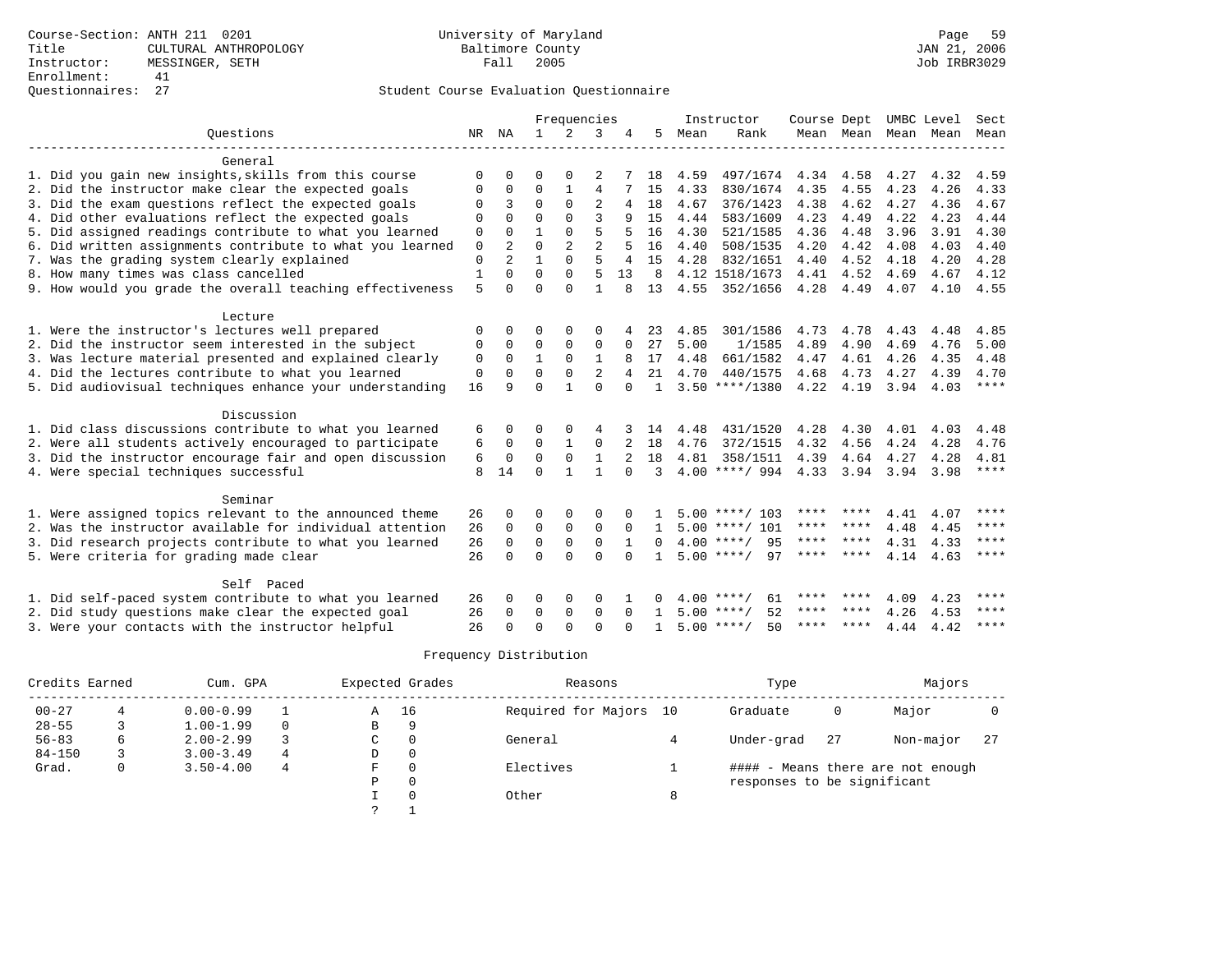## Questionnaires: 27 Student Course Evaluation Questionnaire

|                                                           |              |                | Frequencies  |              |                |              | Instructor   | Course Dept |                    |           | UMBC Level          | Sect |      |             |
|-----------------------------------------------------------|--------------|----------------|--------------|--------------|----------------|--------------|--------------|-------------|--------------------|-----------|---------------------|------|------|-------------|
| Ouestions                                                 | NR           | ΝA             | $\mathbf{1}$ | 2            | 3              |              | 5            | Mean        | Rank               |           | Mean Mean Mean Mean |      |      | Mean        |
|                                                           |              |                |              |              |                |              |              |             |                    |           |                     |      |      |             |
| General                                                   |              |                |              |              |                |              |              |             |                    |           |                     |      |      |             |
| 1. Did you gain new insights, skills from this course     | 0            | $\Omega$       | O            | $\Omega$     |                |              | 18           | 4.59        | 497/1674           | 4.34      | 4.58                | 4.27 | 4.32 | 4.59        |
| 2. Did the instructor make clear the expected goals       | 0            | 0              | 0            | 1            | 4              |              | 15           | 4.33        | 830/1674           | 4.35      | 4.55                | 4.23 | 4.26 | 4.33        |
| 3. Did the exam questions reflect the expected goals      | 0            | 3              | $\Omega$     | $\Omega$     | $\overline{c}$ | 4            | 18           | 4.67        | 376/1423           | 4.38      | 4.62                | 4.27 | 4.36 | 4.67        |
| 4. Did other evaluations reflect the expected goals       | 0            | $\Omega$       | $\Omega$     | $\Omega$     | 3              | 9            | 15           | 4.44        | 583/1609           | 4.23      | 4.49                | 4.22 | 4.23 | 4.44        |
| 5. Did assigned readings contribute to what you learned   | 0            | $\Omega$       | $\mathbf{1}$ | $\Omega$     | 5              |              | 16           | 4.30        | 521/1585           | 4.36      | 4.48                | 3.96 | 3.91 | 4.30        |
| 6. Did written assignments contribute to what you learned | 0            | 2              | $\Omega$     | 2            | $\overline{a}$ |              | 16           | 4.40        | 508/1535           | 4.20      | 4.42                | 4.08 | 4.03 | 4.40        |
| 7. Was the grading system clearly explained               | $\mathbf{0}$ | $\mathfrak{D}$ | $\mathbf{1}$ | $\Omega$     | 5              | 4            | 15           | 4.28        | 832/1651           | 4.40      | 4.52                | 4.18 | 4.20 | 4.28        |
| 8. How many times was class cancelled                     | $\mathbf{1}$ | $\Omega$       | $\Omega$     | $\Omega$     | 5              | 13           | 8            |             | 4.12 1518/1673     | 4.41      | 4.52                | 4.69 | 4.67 | 4.12        |
| 9. How would you grade the overall teaching effectiveness | 5            | $\Omega$       | $\Omega$     | $\Omega$     | $\mathbf{1}$   | $\mathsf{R}$ | 13           | 4.55        | 352/1656           | 4.28      | 4.49                | 4.07 | 4.10 | 4.55        |
| Lecture                                                   |              |                |              |              |                |              |              |             |                    |           |                     |      |      |             |
| 1. Were the instructor's lectures well prepared           | $\Omega$     | 0              | O            | $\Omega$     | $\Omega$       |              | 23           | 4.85        | 301/1586           | 4.73      | 4.78                | 4.43 | 4.48 | 4.85        |
| 2. Did the instructor seem interested in the subject      | 0            | $\Omega$       | $\Omega$     | $\mathbf 0$  | 0              | $\Omega$     | 27           | 5.00        | 1/1585             | 4.89      | 4.90                | 4.69 | 4.76 | 5.00        |
| 3. Was lecture material presented and explained clearly   | 0            | $\mathbf 0$    | $\mathbf{1}$ | $\Omega$     | 1              | 8            | 17           | 4.48        | 661/1582           | 4.47      | 4.61                | 4.26 | 4.35 | 4.48        |
| 4. Did the lectures contribute to what you learned        | $\mathbf 0$  | $\Omega$       | $\Omega$     | $\Omega$     | $\mathfrak{D}$ |              | 21           | 4.70        | 440/1575           | 4.68      | 4.73                | 4.27 | 4.39 | 4.70        |
| 5. Did audiovisual techniques enhance your understanding  | 16           | 9              | $\Omega$     | $\mathbf{1}$ | $\Omega$       | $\cap$       | $\mathbf{1}$ |             | $3.50$ ****/1380   | 4.22      | 4.19                | 3.94 | 4.03 | $***$ * * * |
|                                                           |              |                |              |              |                |              |              |             |                    |           |                     |      |      |             |
| Discussion                                                |              |                |              |              |                |              |              |             |                    |           |                     |      |      |             |
| 1. Did class discussions contribute to what you learned   | 6            | 0              | 0            | $\Omega$     | 4              |              | 14           | 4.48        | 431/1520           | 4.28      | 4.30                | 4.01 | 4.03 | 4.48        |
| 2. Were all students actively encouraged to participate   | 6            | $\mathbf 0$    | $\mathbf 0$  | $\mathbf{1}$ | $\mathbf 0$    |              | 18           | 4.76        | 372/1515           | 4.32      | 4.56                | 4.24 | 4.28 | 4.76        |
| 3. Did the instructor encourage fair and open discussion  | 6            | $\mathbf 0$    | $\mathbf 0$  | $\mathbf 0$  | 1              |              | 18           | 4.81        | 358/1511           | 4.39      | 4.64                | 4.27 | 4.28 | 4.81        |
| 4. Were special techniques successful                     | 8            | 14             | $\Omega$     | $\mathbf{1}$ | $\mathbf{1}$   | $\Omega$     | 3            |             | $4.00$ ****/ 994   | 4.33 3.94 |                     | 3.94 | 3.98 | $***$ * * * |
| Seminar                                                   |              |                |              |              |                |              |              |             |                    |           |                     |      |      |             |
| 1. Were assigned topics relevant to the announced theme   | 26           | 0              | 0            | 0            | 0              |              |              |             | $5.00$ ****/ 103   | **** **** |                     | 4.41 | 4.07 | ****        |
| 2. Was the instructor available for individual attention  | 26           | 0              | 0            | $\mathbf 0$  | $\mathbf 0$    | $\Omega$     |              |             | $5.00$ ****/ 101   | **** **** |                     | 4.48 | 4.45 | ****        |
| 3. Did research projects contribute to what you learned   | 26           | 0              | $\mathbf 0$  | $\mathbf 0$  | $\Omega$       |              | $\Omega$     |             | $4.00$ ****/<br>95 | **** **** |                     | 4.31 | 4.33 | $***$ * * * |
| 5. Were criteria for grading made clear                   | 26           | $\Omega$       | $\Omega$     | $\cap$       | $\Omega$       |              |              |             | $5.00$ ****/<br>97 | **** **** |                     | 4.14 | 4.63 | $***$ * * * |
|                                                           |              |                |              |              |                |              |              |             |                    |           |                     |      |      |             |
| Self Paced                                                |              |                |              |              |                |              |              |             |                    |           |                     |      |      |             |
| 1. Did self-paced system contribute to what you learned   | 26           | 0              | 0            | 0            | 0              |              | 0            |             | 61<br>$4.00$ ****/ |           | **** ****           | 4.09 | 4.23 | ****        |
| 2. Did study questions make clear the expected goal       | 26           | 0              | 0            | $\mathbf 0$  | $\mathbf 0$    | $\Omega$     | 1.           |             | $5.00$ ****/<br>52 | ****      | ****                | 4.26 | 4.53 | ****        |
| 3. Were your contacts with the instructor helpful         | 26           | $\Omega$       | $\Omega$     | $\cap$       | $\Omega$       |              |              |             | $5.00$ ****/<br>50 | **** **** |                     | 4.44 | 4.42 | ****        |

| Credits Earned |   | Cum. GPA      |          |   | Expected Grades | Reasons             |    | Type                        |     | Majors                            |     |
|----------------|---|---------------|----------|---|-----------------|---------------------|----|-----------------------------|-----|-----------------------------------|-----|
| $00 - 27$      |   | $0.00 - 0.99$ |          | Α | 16              | Required for Majors | 10 | Graduate                    | 0   | Major                             |     |
| $28 - 55$      |   | $1.00 - 1.99$ | $\Omega$ | В | 9               |                     |    |                             |     |                                   |     |
| $56 - 83$      | 6 | $2.00 - 2.99$ |          | C | $\Omega$        | General             |    | Under-grad                  | -27 | Non-major                         | -27 |
| $84 - 150$     |   | $3.00 - 3.49$ | 4        | D | 0               |                     |    |                             |     |                                   |     |
| Grad.          | 0 | $3.50 - 4.00$ | 4        | F | $\Omega$        | Electives           |    |                             |     | #### - Means there are not enough |     |
|                |   |               |          | Ρ | 0               |                     |    | responses to be significant |     |                                   |     |
|                |   |               |          |   | $\Omega$        | Other               | 8  |                             |     |                                   |     |
|                |   |               |          |   |                 |                     |    |                             |     |                                   |     |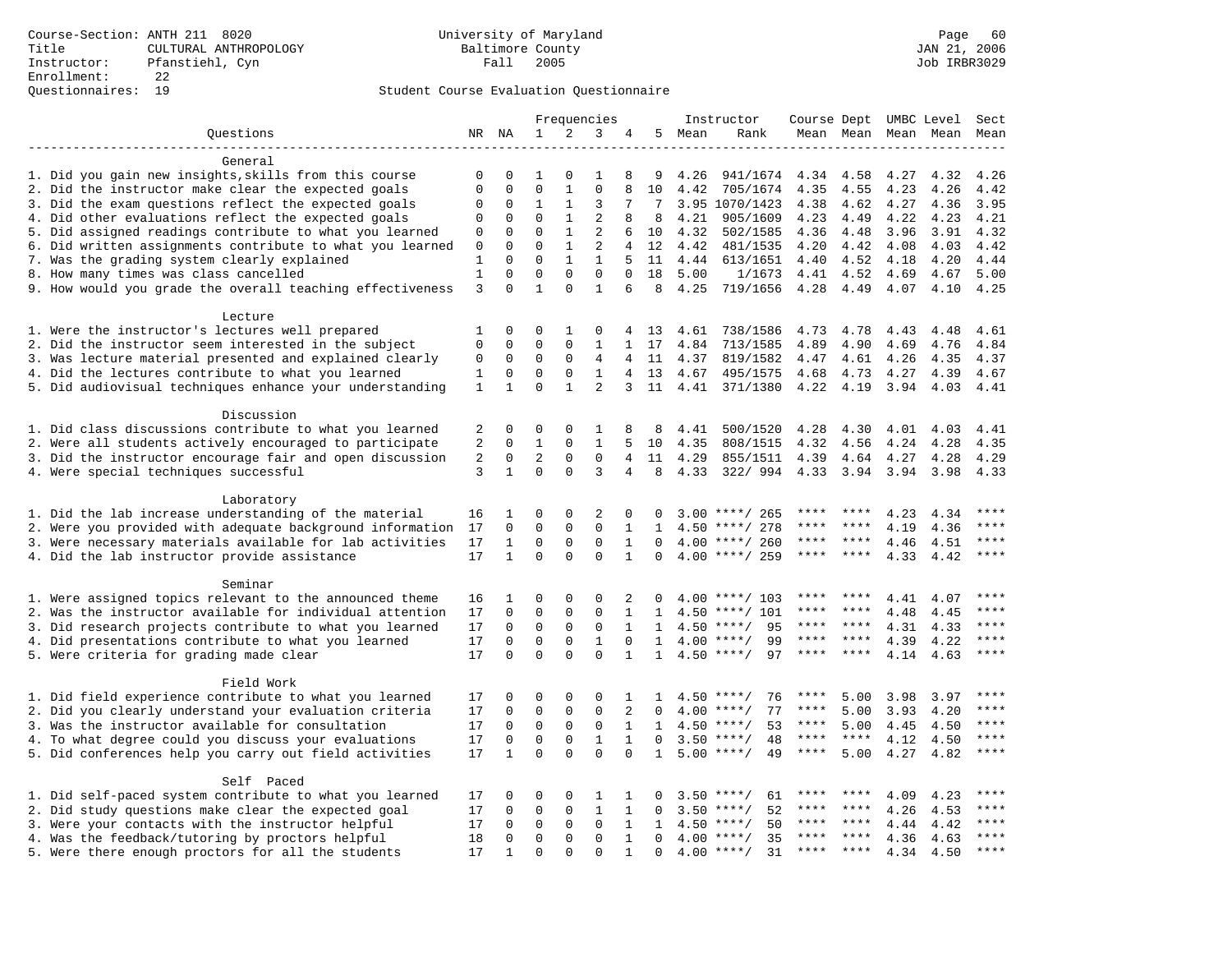|                                                           |              |              |              |              | Frequencies    |                |              |      | Instructor         | Course Dept UMBC Level Sect |                     |      |                     |             |
|-----------------------------------------------------------|--------------|--------------|--------------|--------------|----------------|----------------|--------------|------|--------------------|-----------------------------|---------------------|------|---------------------|-------------|
| Questions                                                 |              | NR NA        | 1            | 2            | 3              | 4              | 5            | Mean | Rank               |                             |                     |      | Mean Mean Mean Mean | Mean        |
|                                                           |              |              |              |              |                |                |              |      |                    |                             |                     |      |                     |             |
| General                                                   |              |              |              |              |                |                |              |      |                    |                             |                     |      |                     |             |
| 1. Did you gain new insights, skills from this course     | $\mathbf 0$  | $\Omega$     | 1            | $\Omega$     | $\mathbf{1}$   | 8              | 9            | 4.26 | 941/1674           | 4.34                        | 4.58                | 4.27 | 4.32                | 4.26        |
| 2. Did the instructor make clear the expected goals       | $\mathbf{0}$ | $\mathbf{0}$ | $\mathbf 0$  | $\mathbf{1}$ | $\mathbf 0$    | 8              | 10           | 4.42 | 705/1674           | 4.35                        | 4.55                | 4.23 | 4.26                | 4.42        |
| 3. Did the exam questions reflect the expected goals      | 0            | 0            | $\mathbf 1$  | $\mathbf{1}$ | 3              | 7              | 7            |      | 3.95 1070/1423     | 4.38                        | 4.62                | 4.27 | 4.36                | 3.95        |
| 4. Did other evaluations reflect the expected goals       | $\mathbf 0$  | $\mathbf 0$  | $\mathbf 0$  | $\mathbf{1}$ | $\overline{2}$ | 8              | 8            | 4.21 | 905/1609           | 4.23                        | 4.49                | 4.22 | 4.23                | 4.21        |
| 5. Did assigned readings contribute to what you learned   | 0            | $\mathbf{0}$ | $\mathbf 0$  | $\mathbf{1}$ | 2              | 6              | 10           | 4.32 | 502/1585           | 4.36                        | 4.48                | 3.96 | 3.91                | 4.32        |
| 6. Did written assignments contribute to what you learned | 0            | $\Omega$     | $\Omega$     | $\mathbf{1}$ | $\overline{2}$ | $\overline{4}$ | 12           | 4.42 | 481/1535           | 4.20                        | 4.42                | 4.08 | 4.03                | 4.42        |
| 7. Was the grading system clearly explained               | $\mathbf 1$  | $\mathbf{0}$ | $\mathbf 0$  | $\mathbf{1}$ | $\mathbf{1}$   | 5              | 11           | 4.44 | 613/1651           | 4.40                        | 4.52                | 4.18 | 4.20                | 4.44        |
| 8. How many times was class cancelled                     | $\mathbf{1}$ | $\mathbf 0$  | $\mathbf 0$  | $\Omega$     | $\mathbf 0$    | $\Omega$       | 18           | 5.00 | 1/1673             | 4.41                        | 4.52                | 4.69 | 4.67                | 5.00        |
| 9. How would you grade the overall teaching effectiveness | 3            | $\Omega$     | $\mathbf{1}$ | $\Omega$     | $\mathbf{1}$   | 6              | 8            | 4.25 | 719/1656           | 4.28                        | 4.49                | 4.07 | 4.10                | 4.25        |
| Lecture                                                   |              |              |              |              |                |                |              |      |                    |                             |                     |      |                     |             |
| 1. Were the instructor's lectures well prepared           | 1            | $\mathbf 0$  | 0            | 1            | 0              | 4              | 13           | 4.61 | 738/1586           | 4.73                        | 4.78                | 4.43 | 4.48                | 4.61        |
| 2. Did the instructor seem interested in the subject      | $\mathbf{0}$ | $\mathbf 0$  | $\mathbf 0$  | $\mathbf 0$  | $\mathbf{1}$   | $\mathbf{1}$   | 17           | 4.84 | 713/1585           | 4.89                        | 4.90                | 4.69 | 4.76                | 4.84        |
| 3. Was lecture material presented and explained clearly   | 0            | 0            | 0            | 0            | 4              | 4              | 11           | 4.37 | 819/1582           | 4.47                        | 4.61                | 4.26 | 4.35                | 4.37        |
| 4. Did the lectures contribute to what you learned        | 1            | $\mathbf{0}$ | $\mathbf 0$  | $\mathbf{0}$ | $\mathbf{1}$   | 4              | 13           | 4.67 | 495/1575           | 4.68                        | 4.73                | 4.27 | 4.39                | 4.67        |
| 5. Did audiovisual techniques enhance your understanding  | $\mathbf{1}$ | $\mathbf{1}$ | $\mathbf 0$  | $\mathbf{1}$ | 2              | 3              | 11           |      | 4.41 371/1380      | 4.22                        | 4.19                | 3.94 | 4.03                | 4.41        |
| Discussion                                                |              |              |              |              |                |                |              |      |                    |                             |                     |      |                     |             |
| 1. Did class discussions contribute to what you learned   | 2            | 0            | 0            | 0            | 1              | 8              | 8            | 4.41 | 500/1520           | 4.28                        | 4.30                | 4.01 | 4.03                | 4.41        |
| 2. Were all students actively encouraged to participate   | 2            | $\mathbf 0$  | $\mathbf{1}$ | $\mathbf{0}$ | $\mathbf{1}$   | 5              | 10           | 4.35 | 808/1515           | 4.32                        | 4.56                | 4.24 | 4.28                | 4.35        |
| 3. Did the instructor encourage fair and open discussion  | 2            | 0            | 2            | 0            | $\mathsf 0$    | $\overline{4}$ | 11           | 4.29 | 855/1511           | 4.39                        | 4.64                | 4.27 | 4.28                | 4.29        |
| 4. Were special techniques successful                     | 3            | $\mathbf{1}$ | $\Omega$     | $\Omega$     | 3              | 4              | 8            | 4.33 | 322/994            |                             | 4.33 3.94 3.94 3.98 |      |                     | 4.33        |
|                                                           |              |              |              |              |                |                |              |      |                    |                             |                     |      |                     |             |
| Laboratory                                                |              |              |              |              |                |                |              |      |                    |                             |                     |      |                     |             |
| 1. Did the lab increase understanding of the material     | 16           | 1            | $\mathbf 0$  | 0            | $\overline{2}$ | 0              | $\Omega$     | 3.00 | ****/ 265          |                             |                     | 4.23 | 4.34                | ****        |
| 2. Were you provided with adequate background information | 17           | $\mathbf 0$  | $\mathbf 0$  | $\mathbf{0}$ | $\mathbf 0$    | 1              | 1            | 4.50 | ****/ 278          | ****                        | ****                | 4.19 | 4.36                | ****        |
| 3. Were necessary materials available for lab activities  | 17           | $\mathbf{1}$ | $\mathbf 0$  | $\mathbf 0$  | $\mathbf 0$    | $\mathbf{1}$   | $\Omega$     |      | $4.00$ ****/ 260   | $***$ * * *                 | $***$ *             | 4.46 | 4.51                | $***$       |
| 4. Did the lab instructor provide assistance              | 17           | $\mathbf{1}$ | $\Omega$     | $\Omega$     | $\Omega$       | $\mathbf{1}$   | $\Omega$     |      | $4.00$ ****/ 259   | ****                        | ****                | 4.33 | 4.42                | ****        |
| Seminar                                                   |              |              |              |              |                |                |              |      |                    |                             |                     |      |                     |             |
| 1. Were assigned topics relevant to the announced theme   | 16           | 1            | 0            | 0            | 0              | 2              | 0            | 4.00 | ****/ 103          |                             |                     | 4.41 | 4.07                |             |
| 2. Was the instructor available for individual attention  | 17           | $\Omega$     | $\mathbf 0$  | $\mathbf{0}$ | $\mathbf{0}$   | 1              | $\mathbf{1}$ | 4.50 | ****/ 101          | ****                        | ****                | 4.48 | 4.45                | ****        |
| 3. Did research projects contribute to what you learned   | 17           | $\mathbf 0$  | $\mathbf 0$  | $\mathsf 0$  | $\mathbf 0$    | $\mathbf{1}$   | 1            | 4.50 | $***/$<br>95       | ****                        | $***$ *             | 4.31 | 4.33                | ****        |
| 4. Did presentations contribute to what you learned       | 17           | $\Omega$     | $\mathbf 0$  | $\mathbf 0$  | 1              | $\Omega$       | $\mathbf{1}$ | 4.00 | $***$ /<br>99      | ****                        | $***$ *             | 4.39 | 4.22                | $***$       |
| 5. Were criteria for grading made clear                   | 17           | $\Omega$     | $\Omega$     | $\Omega$     | $\Omega$       | $\mathbf{1}$   | $\mathbf{1}$ |      | $4.50$ ****/<br>97 | ****                        | ****                | 4.14 | 4.63                | $***$       |
| Field Work                                                |              |              |              |              |                |                |              |      |                    |                             |                     |      |                     |             |
| 1. Did field experience contribute to what you learned    | 17           | 0            | 0            | 0            | 0              | 1              | 1            | 4.50 | 76<br>$***$ /      | ****                        | 5.00                | 3.98 | 3.97                | $***$ * * * |
| 2. Did you clearly understand your evaluation criteria    | 17           | $\mathbf 0$  | $\mathbf 0$  | $\mathbf 0$  | $\mathbf{0}$   | 2              | $\Omega$     | 4.00 | $***/$<br>77       | $***$ * *                   | 5.00                | 3.93 | 4.20                | $***$       |
| 3. Was the instructor available for consultation          | 17           | $\Omega$     | $\mathbf 0$  | $\mathbf 0$  | $\mathbf 0$    | $\mathbf{1}$   | $\mathbf{1}$ |      | $4.50$ ****/<br>53 | ****                        | 5.00                | 4.45 | 4.50                | ****        |
| 4. To what degree could you discuss your evaluations      | 17           | $\mathbf 0$  | $\mathbf 0$  | $\mathsf 0$  | $\mathbf{1}$   | $\mathbf{1}$   | $\Omega$     | 3.50 | 48<br>$***$ /      | $***$ * * *                 | ****                | 4.12 | 4.50                | ****        |
| 5. Did conferences help you carry out field activities    | 17           | $\mathbf{1}$ | $\Omega$     | $\Omega$     | $\Omega$       | $\Omega$       | $\mathbf{1}$ | 5.00 | 49<br>$***$ /      | ****                        | 5.00                | 4.27 | 4.82                | $***$       |
|                                                           |              |              |              |              |                |                |              |      |                    |                             |                     |      |                     |             |
| Self Paced                                                |              |              |              |              |                |                |              |      |                    |                             |                     |      |                     |             |
| 1. Did self-paced system contribute to what you learned   | 17           | 0            | 0            | 0            | 1              | 1              |              | 3.50 | $***/$<br>61       |                             | ****                | 4.09 | 4.23                | * * * *     |
| 2. Did study questions make clear the expected goal       | 17           | $\Omega$     | $\Omega$     | $\Omega$     | $\mathbf{1}$   | $\mathbf{1}$   | $\Omega$     | 3.50 | 52<br>$***/$       | ****                        | ****                | 4.26 | 4.53                | ****        |
| 3. Were your contacts with the instructor helpful         | 17           | $\mathbf 0$  | $\mathbf 0$  | $\mathbf 0$  | $\mathbf 0$    | $\mathbf{1}$   | $\mathbf{1}$ |      | $4.50$ ****/<br>50 | ****                        | $***$ *             | 4.44 | 4.42                | ****        |
| 4. Was the feedback/tutoring by proctors helpful          | 18           | $\mathbf 0$  | $\mathbf 0$  | $\mathbf{0}$ | $\mathbf{0}$   | 1              | $\mathbf 0$  | 4.00 | 35<br>$***/$       |                             | ****                | 4.36 | 4.63                | ****        |
| 5. Were there enough proctors for all the students        | 17           | $\mathbf{1}$ | $\Omega$     | $\Omega$     | $\Omega$       | $\mathbf{1}$   | $\Omega$     |      | $4.00$ ****/<br>31 | $***$ * * *                 | $* * * *$           | 4.34 | 4.50                | $***$       |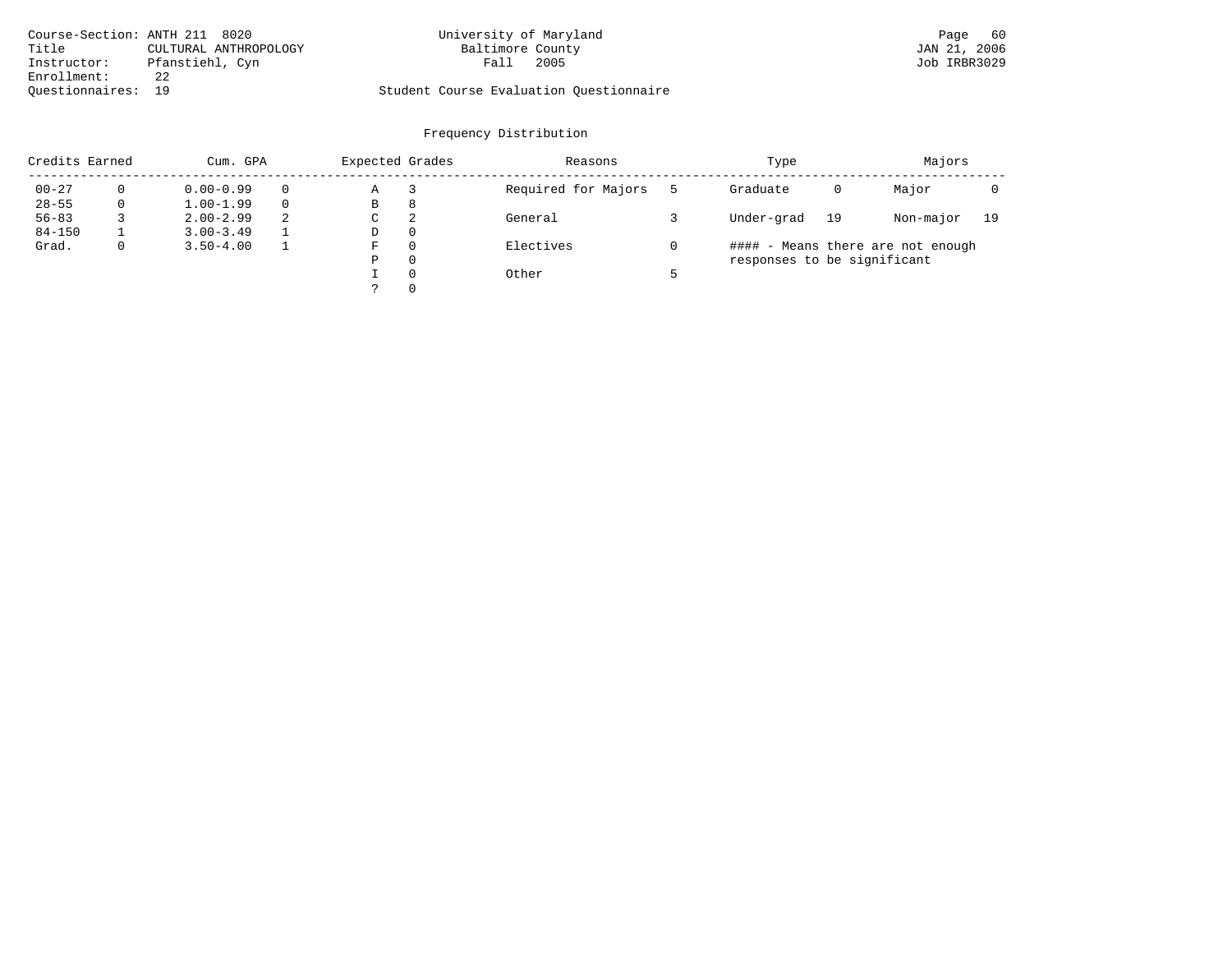| Course-Section: ANTH 211 8020  | University of Maryland                  | 60<br>Page   |
|--------------------------------|-----------------------------------------|--------------|
| Title<br>CULTURAL ANTHROPOLOGY | Baltimore County                        | JAN 21, 2006 |
| Pfanstiehl, Cyn<br>Instructor: | 2005<br>Fall                            | Job IRBR3029 |
| Enrollment:                    |                                         |              |
| Ouestionnaires: 19             | Student Course Evaluation Questionnaire |              |

| Credits Earned |             | Cum. GPA      |   | Expected Grades |          | Reasons             | Type                        |    | Majors                            |    |
|----------------|-------------|---------------|---|-----------------|----------|---------------------|-----------------------------|----|-----------------------------------|----|
| $00 - 27$      |             | $0.00 - 0.99$ |   | Α               |          | Required for Majors | Graduate                    | 0  | Major                             |    |
| $28 - 55$      | 0           | $1.00 - 1.99$ |   | В               | 8        |                     |                             |    |                                   |    |
| $56 - 83$      |             | $2.00 - 2.99$ | 2 | C               | 2        | General             | Under-grad                  | 19 | Non-major                         | 19 |
| $84 - 150$     |             | $3.00 - 3.49$ |   | D               | $\Omega$ |                     |                             |    |                                   |    |
| Grad.          | $\mathbf 0$ | $3.50 - 4.00$ |   | F               | $\Omega$ | Electives           |                             |    | #### - Means there are not enough |    |
|                |             |               |   | Ρ               | $\Omega$ |                     | responses to be significant |    |                                   |    |
|                |             |               |   |                 | $\Omega$ | Other               |                             |    |                                   |    |
|                |             |               |   |                 | $\Omega$ |                     |                             |    |                                   |    |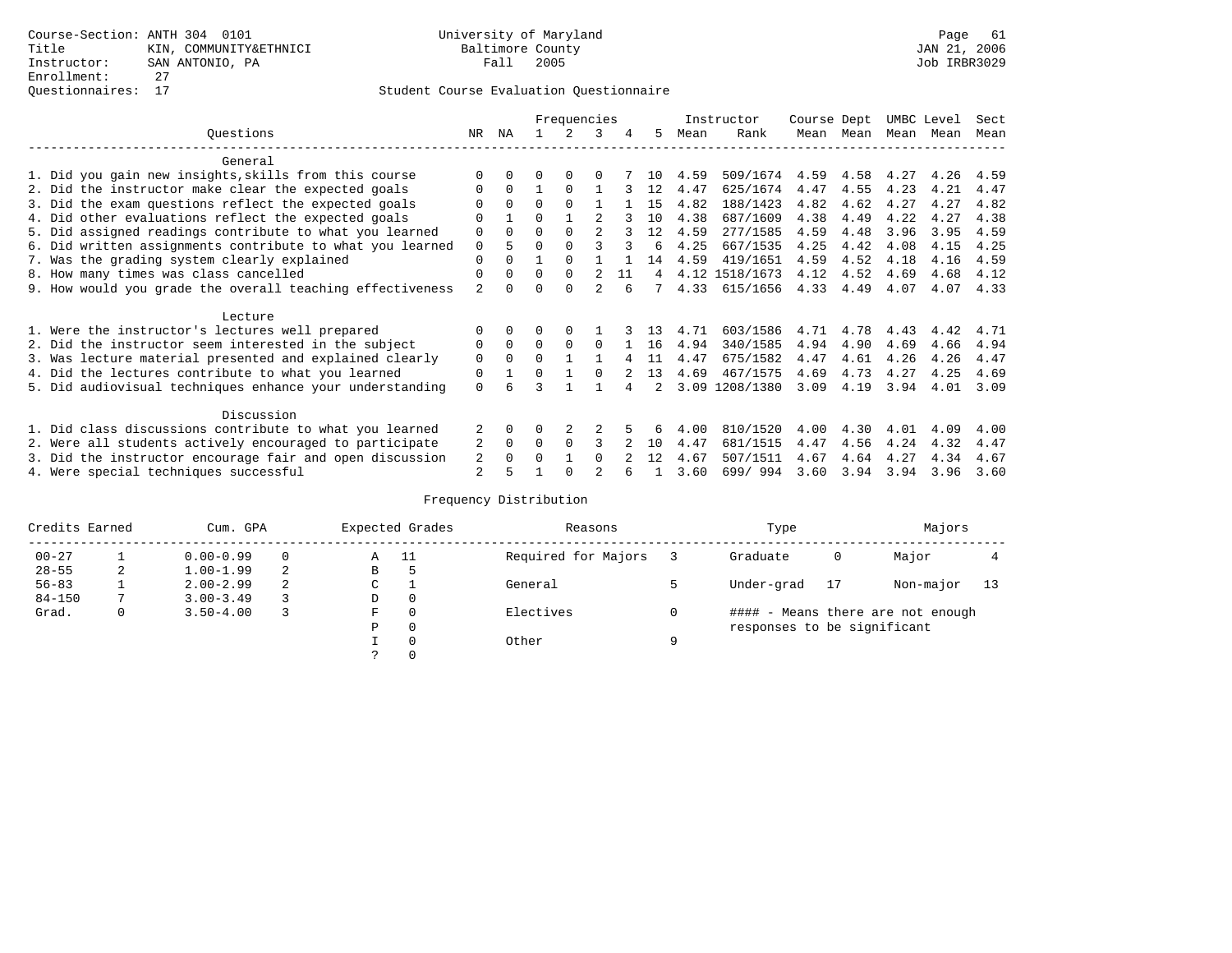|                                                           |                |              |          | Frequencies |                |    |    |      | Instructor     | Course Dept |           | UMBC Level |      | Sect |
|-----------------------------------------------------------|----------------|--------------|----------|-------------|----------------|----|----|------|----------------|-------------|-----------|------------|------|------|
| Ouestions                                                 | NR             | ΝA           |          | 2           | 3              | 4  | 5. | Mean | Rank           |             | Mean Mean | Mean       | Mean | Mean |
| General                                                   |                |              |          |             |                |    |    |      |                |             |           |            |      |      |
| 1. Did you gain new insights, skills from this course     |                | $\Omega$     | 0        | $\Omega$    | 0              |    | 10 | 4.59 | 509/1674       | 4.59        | 4.58      | 4.27       | 4.26 | 4.59 |
| 2. Did the instructor make clear the expected goals       | O              | $\Omega$     |          | $\Omega$    |                |    | 12 | 4.47 | 625/1674       | 4.47        | 4.55      | 4.23       | 4.21 | 4.47 |
| 3. Did the exam questions reflect the expected goals      |                | $\Omega$     | $\Omega$ | $\Omega$    |                |    | 15 | 4.82 | 188/1423       | 4.82        | 4.62      | 4.27       | 4.27 | 4.82 |
| 4. Did other evaluations reflect the expected goals       | O              |              | O        |             |                |    | 10 | 4.38 | 687/1609       | 4.38        | 4.49      | 4.22       | 4.27 | 4.38 |
| 5. Did assigned readings contribute to what you learned   | 0              | $\Omega$     | O        | $\Omega$    | $\mathfrak{D}$ |    | 12 | 4.59 | 277/1585       | 4.59        | 4.48      | 3.96       | 3.95 | 4.59 |
| 6. Did written assignments contribute to what you learned | $\Omega$       | 5            | O        |             |                |    | 6  | 4.25 | 667/1535       | 4.25        | 4.42      | 4.08       | 4.15 | 4.25 |
| 7. Was the grading system clearly explained               | 0              | $\Omega$     |          | $\Omega$    |                |    | 14 | 4.59 | 419/1651       | 4.59        | 4.52      | 4.18       | 4.16 | 4.59 |
| 8. How many times was class cancelled                     | 0              | $\Omega$     | $\Omega$ | $\Omega$    |                | 11 | 4  |      | 4.12 1518/1673 | 4.12        | 4.52      | 4.69       | 4.68 | 4.12 |
| 9. How would you grade the overall teaching effectiveness | $\overline{2}$ | <sup>n</sup> |          | $\cap$      |                |    |    | 4.33 | 615/1656       | 4.33        | 4.49      | 4.07       | 4.07 | 4.33 |
| Lecture                                                   |                |              |          |             |                |    |    |      |                |             |           |            |      |      |
| 1. Were the instructor's lectures well prepared           | O              |              |          |             |                |    | 13 | 4.71 | 603/1586       | 4.71        | 4.78      | 4.43       | 4.42 | 4.71 |
| 2. Did the instructor seem interested in the subject      | 0              | $\Omega$     | $\Omega$ | $\Omega$    | <sup>0</sup>   |    | 16 | 4.94 | 340/1585       | 4.94        | 4.90      | 4.69       | 4.66 | 4.94 |
| 3. Was lecture material presented and explained clearly   | 0              | $\Omega$     | 0        |             |                |    | 11 | 4.47 | 675/1582       | 4.47        | 4.61      | 4.26       | 4.26 | 4.47 |
| 4. Did the lectures contribute to what you learned        | 0              |              | 0        |             | <sup>0</sup>   |    | 13 | 4.69 | 467/1575       | 4.69        | 4.73      | 4.27       | 4.25 | 4.69 |
| 5. Did audiovisual techniques enhance your understanding  | $\Omega$       |              |          |             |                |    |    | 3.09 | 1208/1380      | 3.09        | 4.19      | 3.94       | 4.01 | 3.09 |
| Discussion                                                |                |              |          |             |                |    |    |      |                |             |           |            |      |      |
| 1. Did class discussions contribute to what you learned   |                | $\Omega$     | U        |             |                |    |    | 4.00 | 810/1520       | 4.00        | 4.30      | 4.01       | 4.09 | 4.00 |
| 2. Were all students actively encouraged to participate   | 2              | $\Omega$     | 0        | $\Omega$    | ς              |    | 10 | 4.47 | 681/1515       | 4.47        | 4.56      | 4.24       | 4.32 | 4.47 |
| 3. Did the instructor encourage fair and open discussion  | 2              | $\Omega$     |          |             | <sup>0</sup>   |    | 12 | 4.67 | 507/1511       | 4.67        | 4.64      | 4.27       | 4.34 | 4.67 |
| 4. Were special techniques successful                     | 2              |              |          |             |                |    |    | 3.60 | 699/994        | 3.60        | 3.94      | 3.94       | 3.96 | 3.60 |

| Credits Earned |   | Cum. GPA      |                  |   | Expected Grades | Reasons             |   | Type                        |    | Majors                            |    |
|----------------|---|---------------|------------------|---|-----------------|---------------------|---|-----------------------------|----|-----------------------------------|----|
| $00 - 27$      |   | $0.00 - 0.99$ |                  | Α | - 11            | Required for Majors |   | Graduate                    | 0  | Major                             |    |
| $28 - 55$      | 2 | $1.00 - 1.99$ | 2                | В | 5               |                     |   |                             |    |                                   |    |
| $56 - 83$      |   | $2.00 - 2.99$ | 2<br>$\sim$<br>◡ |   |                 | General             |   | Under-grad                  | 17 | Non-major                         | 13 |
| $84 - 150$     |   | $3.00 - 3.49$ |                  | D | 0               |                     |   |                             |    |                                   |    |
| Grad.          | 0 | $3.50 - 4.00$ |                  | F | 0               | Electives           | 0 |                             |    | #### - Means there are not enough |    |
|                |   |               |                  | Ρ | 0               |                     |   | responses to be significant |    |                                   |    |
|                |   |               |                  |   | $\Omega$        | Other               | Q |                             |    |                                   |    |
|                |   |               |                  |   |                 |                     |   |                             |    |                                   |    |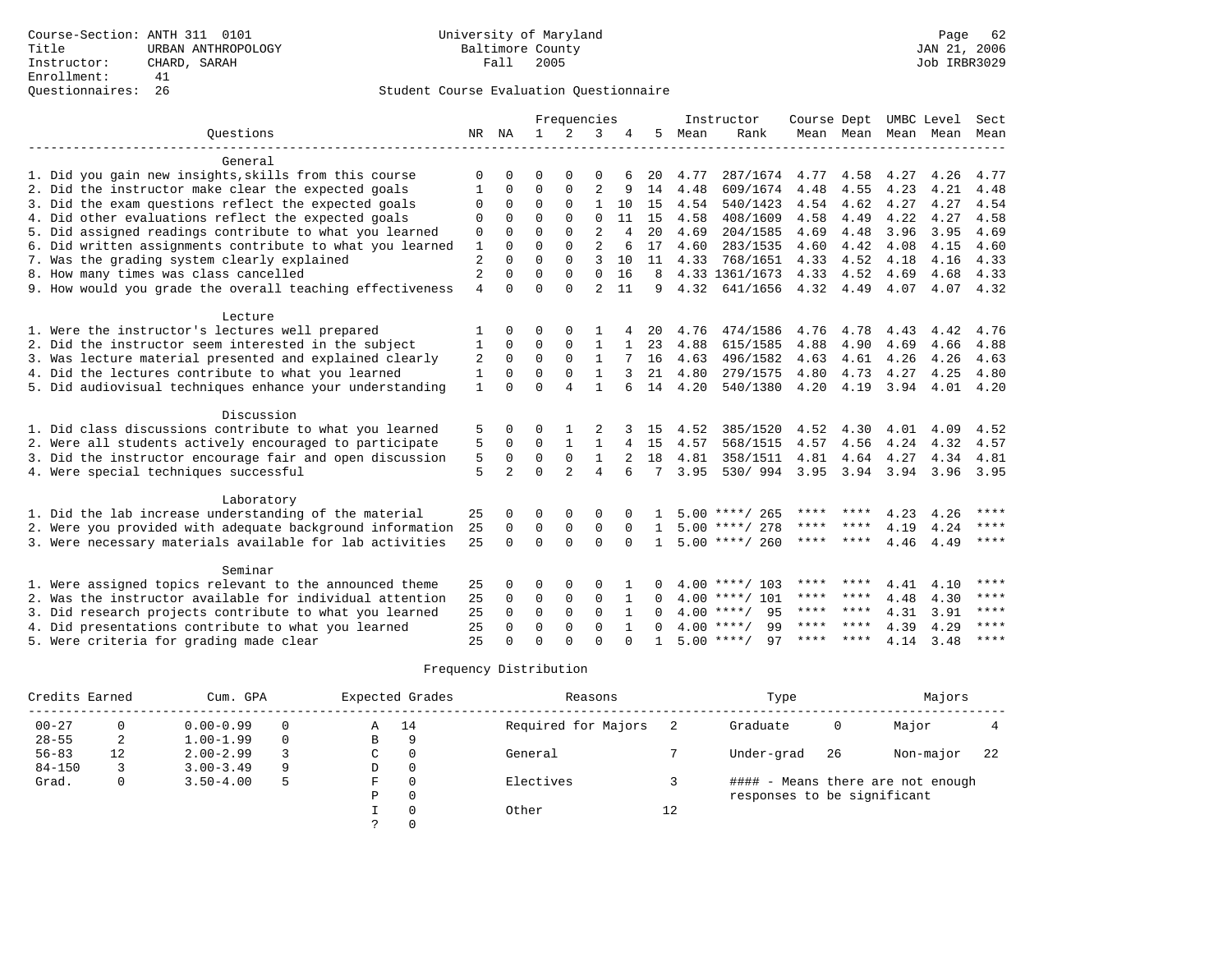## Questionnaires: 26 Student Course Evaluation Questionnaire

|                                                                                                                    |                |                |                  | Frequencies    |                |          |              |              | Instructor         | Course Dept  |              |              | UMBC Level               | Sect         |
|--------------------------------------------------------------------------------------------------------------------|----------------|----------------|------------------|----------------|----------------|----------|--------------|--------------|--------------------|--------------|--------------|--------------|--------------------------|--------------|
| Ouestions                                                                                                          |                | NR NA          | 1                | 2              | 3              | 4        | 5            | Mean         | Rank               |              |              |              | Mean Mean Mean Mean Mean |              |
| General                                                                                                            |                |                |                  |                |                |          |              |              |                    |              |              |              |                          |              |
| 1. Did you gain new insights, skills from this course                                                              | $\Omega$       | U              | $\Omega$         | $\Omega$       | $\Omega$       |          | 20           | 4.77         | 287/1674           | 4.77         | 4.58         | 4.27         | 4.26                     | 4.77         |
| 2. Did the instructor make clear the expected goals                                                                |                | $\Omega$       | $\Omega$         | $\Omega$       | $\overline{c}$ | 9        | 14           | 4.48         | 609/1674           | 4.48         | 4.55         | 4.23         | 4.21                     | 4.48         |
| 3. Did the exam questions reflect the expected goals                                                               | 0              | 0              | $\Omega$         | $\Omega$       | $\mathbf{1}$   | 10       | 15           | 4.54         | 540/1423           | 4.54         | 4.62         | 4.27         | 4.27                     | 4.54         |
| 4. Did other evaluations reflect the expected goals                                                                | $\mathbf 0$    | $\Omega$       | $\Omega$         | $\Omega$       | $\Omega$       | 11       | 15           | 4.58         | 408/1609           | 4.58         | 4.49         | 4.22         | 4.27                     | 4.58         |
| 5. Did assigned readings contribute to what you learned                                                            | $\mathbf 0$    | $\Omega$       | $\Omega$         | $\Omega$       | $\overline{2}$ | 4        | 20           | 4.69         | 204/1585           | 4.69         | 4.48         | 3.96         | 3.95                     | 4.69         |
| 6. Did written assignments contribute to what you learned                                                          | $\mathbf{1}$   | $\Omega$       | $\Omega$         | $\Omega$       | $\overline{a}$ | 6        | 17           | 4.60         | 283/1535           | 4.60         | 4.42         | 4.08         | 4.15                     | 4.60         |
| 7. Was the grading system clearly explained                                                                        | $\overline{c}$ | $\Omega$       | $\Omega$         | $\Omega$       | ς              | 10       | 11           | 4.33         | 768/1651           | 4.33         | 4.52         | 4.18         | 4.16                     | 4.33         |
| 8. How many times was class cancelled                                                                              | 2              | 0              | $\Omega$         | $\Omega$       | $\mathbf{0}$   | 16       | 8            |              | 4.33 1361/1673     | 4.33         | 4.52         | 4.69         | 4.68                     | 4.33         |
| 9. How would you grade the overall teaching effectiveness                                                          | $\overline{4}$ | $\Omega$       | $\Omega$         | $\Omega$       | $\mathfrak{D}$ | 11       | 9            | 4.32         | 641/1656           | 4.32         | 4.49         | 4.07         | 4.07                     | 4.32         |
| Lecture                                                                                                            |                |                |                  |                |                |          |              |              |                    |              |              |              |                          |              |
| 1. Were the instructor's lectures well prepared                                                                    | 1              | $\Omega$       | O                | $\Omega$       |                |          | 20           | 4.76         | 474/1586           | 4.76         | 4.78         | 4.43         | 4.42                     | 4.76         |
| 2. Did the instructor seem interested in the subject                                                               | 1              | 0              | $\Omega$         | $\Omega$       | 1              | 1        | 23           | 4.88         | 615/1585           | 4.88         | 4.90         | 4.69         | 4.66                     | 4.88         |
| 3. Was lecture material presented and explained clearly                                                            | 2              | 0              | $\Omega$         | $\Omega$       | 1              |          | 16           | 4.63         | 496/1582           | 4.63         | 4.61         | 4.26         | 4.26                     | 4.63         |
| 4. Did the lectures contribute to what you learned                                                                 | 1              | 0              | $\Omega$         | $\Omega$       | $\mathbf{1}$   | 3        | 21           | 4.80         | 279/1575           | 4.80         | 4.73         | 4.27         | 4.25                     | 4.80         |
| 5. Did audiovisual techniques enhance your understanding                                                           | 1              | $\Omega$       | $\Omega$         | 4              | $\mathbf{1}$   | б        | 14           | 4.20         | 540/1380           | 4.20         | 4.19         | 3.94         | 4.01                     | 4.20         |
| Discussion                                                                                                         |                |                |                  |                |                |          |              |              |                    |              |              |              |                          |              |
|                                                                                                                    |                | $\Omega$       |                  |                |                |          |              |              | 385/1520           |              |              |              |                          |              |
| 1. Did class discussions contribute to what you learned<br>2. Were all students actively encouraged to participate | 5              | $\mathbf 0$    | 0<br>$\mathbf 0$ | $\mathbf{1}$   | 1              |          | 15<br>15     | 4.52<br>4.57 | 568/1515           | 4.52<br>4.57 | 4.30<br>4.56 | 4.01<br>4.24 | 4.09<br>4.32             | 4.52<br>4.57 |
| 3. Did the instructor encourage fair and open discussion                                                           | 5              | 0              | 0                | $\mathbf 0$    | 1              | 4        | 18           | 4.81         | 358/1511           | 4.81         | 4.64         | 4.27         | 4.34                     | 4.81         |
| 4. Were special techniques successful                                                                              | 5<br>5         | $\mathfrak{D}$ | $\Omega$         | $\overline{a}$ | 4              | 6        | 7            | 3.95         | 530/ 994           | 3.95         | 3.94         | 3.94         | 3.96                     | 3.95         |
|                                                                                                                    |                |                |                  |                |                |          |              |              |                    |              |              |              |                          |              |
| Laboratory                                                                                                         |                |                |                  |                |                |          |              |              |                    |              |              |              |                          |              |
| 1. Did the lab increase understanding of the material                                                              | 25             | $\Omega$       | O                | $\Omega$       | $\Omega$       |          |              |              | $5.00$ ****/ 265   |              |              | 4.23         | 4.26                     | ****         |
| 2. Were you provided with adequate background information                                                          | 25             | $\Omega$       | $\Omega$         | $\mathbf 0$    | 0              | $\Omega$ | $\mathbf{1}$ |              | $5.00$ ****/ 278   | ****         | ****         | 4.19         | 4.24                     | $***$        |
| 3. Were necessary materials available for lab activities                                                           | 25             | $\Omega$       | $\Omega$         | $\Omega$       | $\Omega$       | $\Omega$ | $\mathbf{1}$ |              | $5.00$ ****/ 260   | ****         | ****         | 4.46         | 4.49                     | $* * * *$    |
| Seminar                                                                                                            |                |                |                  |                |                |          |              |              |                    |              |              |              |                          |              |
| 1. Were assigned topics relevant to the announced theme                                                            | 25             | 0              | 0                | $\Omega$       | 0              |          | U            |              | $4.00$ ****/ 103   | ****         | ****         | 4.41         | 4.10                     | ****         |
| 2. Was the instructor available for individual attention                                                           | 25             | $\Omega$       | $\Omega$         | $\mathbf 0$    | 0              | 1        | $\Omega$     |              | $4.00$ ****/ 101   |              | **** ****    | 4.48         | 4.30                     | ****         |
| 3. Did research projects contribute to what you learned                                                            | 25             | $\Omega$       | $\mathbf 0$      | 0              | $\Omega$       | 1        | $\Omega$     |              | $4.00$ ****/<br>95 |              | **** ****    | 4.31         | 3.91                     | ****         |
| 4. Did presentations contribute to what you learned                                                                | 25             | O              | $\Omega$         | $\Omega$       | $\Omega$       |          | 0            |              | $4.00$ ****/<br>99 | ****         | ****         | 4.39         | 4.29                     | ****         |
| 5. Were criteria for grading made clear                                                                            | 25             | $\cap$         | $\Omega$         | $\cap$         | $\cap$         | $\cap$   |              |              | $5.00$ ****/<br>97 | ****         | ****         | 4.14         | 3.48                     | $* * * * *$  |

| Credits Earned |    | Cum. GPA      |          |   | Expected Grades | Reasons             |    | Type                        |    | Majors                            |    |
|----------------|----|---------------|----------|---|-----------------|---------------------|----|-----------------------------|----|-----------------------------------|----|
| $00 - 27$      |    | $0.00 - 0.99$ | 0        | Α | 14              | Required for Majors |    | Graduate                    | 0  | Major                             |    |
| $28 - 55$      | 2  | $1.00 - 1.99$ | $\Omega$ | B | 9               |                     |    |                             |    |                                   |    |
| $56 - 83$      | 12 | $2.00 - 2.99$ |          | C |                 | General             |    | Under-grad                  | 26 | Non-major                         | 22 |
| $84 - 150$     |    | $3.00 - 3.49$ | 9        | D | 0               |                     |    |                             |    |                                   |    |
| Grad.          | 0  | $3.50 - 4.00$ | 5        | F |                 | Electives           |    |                             |    | #### - Means there are not enough |    |
|                |    |               |          | P | $\Omega$        |                     |    | responses to be significant |    |                                   |    |
|                |    |               |          |   |                 | Other               | 12 |                             |    |                                   |    |
|                |    |               |          |   |                 |                     |    |                             |    |                                   |    |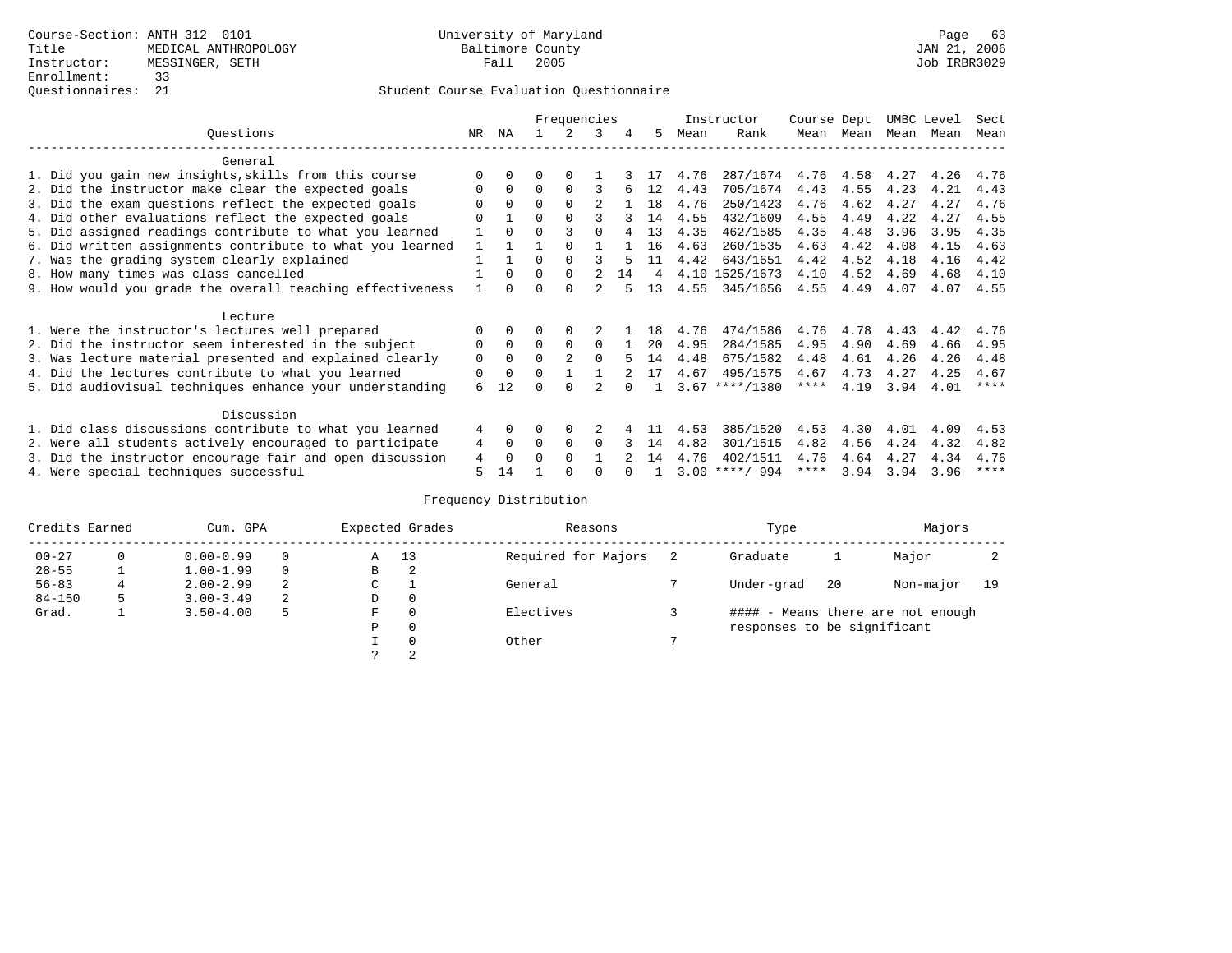|                                                           |     |             |          | Frequencies    |               |    |    |      | Instructor       | Course Dept |      | UMBC Level |      | Sect      |
|-----------------------------------------------------------|-----|-------------|----------|----------------|---------------|----|----|------|------------------|-------------|------|------------|------|-----------|
| Ouestions                                                 | NR. | ΝA          |          |                | 3             | 4  | 5  | Mean | Rank             | Mean        | Mean | Mean       | Mean | Mean      |
| General                                                   |     |             |          |                |               |    |    |      |                  |             |      |            |      |           |
| 1. Did you gain new insights, skills from this course     |     | 0           | U        | $\Omega$       |               |    |    | 4.76 | 287/1674         | 4.76        | 4.58 | 4.27       | 4.26 | 4.76      |
| 2. Did the instructor make clear the expected goals       |     | $\Omega$    | $\Omega$ | $\Omega$       |               |    | 12 | 4.43 | 705/1674         | 4.43        | 4.55 | 4.23       | 4.21 | 4.43      |
| 3. Did the exam questions reflect the expected goals      |     | $\Omega$    | $\Omega$ | $\Omega$       |               |    | 18 | 4.76 | 250/1423         | 4.76        | 4.62 | 4.27       | 4.27 | 4.76      |
| 4. Did other evaluations reflect the expected goals       | U   |             | O        | $\Omega$       |               |    | 14 | 4.55 | 432/1609         | 4.55        | 4.49 | 4.22       | 4.27 | 4.55      |
| 5. Did assigned readings contribute to what you learned   |     | $\Omega$    |          |                |               |    | 13 | 4.35 | 462/1585         | 4.35        | 4.48 | 3.96       | 3.95 | 4.35      |
| 6. Did written assignments contribute to what you learned |     |             |          |                |               |    | 16 | 4.63 | 260/1535         | 4.63        | 4.42 | 4.08       | 4.15 | 4.63      |
| 7. Was the grading system clearly explained               |     |             | U        | <sup>0</sup>   |               |    | 11 | 4.42 | 643/1651         | 4.42        | 4.52 | 4.18       | 4.16 | 4.42      |
| 8. How many times was class cancelled                     |     | $\Omega$    | 0        | $\Omega$       | $\mathcal{L}$ | 14 | 4  |      | 4.10 1525/1673   | 4.10        | 4.52 | 4.69       | 4.68 | 4.10      |
| 9. How would you grade the overall teaching effectiveness |     |             |          | <sup>n</sup>   |               |    | 13 | 4.55 | 345/1656         | 4.55        | 4.49 | 4.07       | 4.07 | 4.55      |
| Lecture                                                   |     |             |          |                |               |    |    |      |                  |             |      |            |      |           |
| 1. Were the instructor's lectures well prepared           |     |             |          |                |               |    | 18 | 4.76 | 474/1586         | 4.76        | 4.78 | 4.43       | 4.42 | 4.76      |
| 2. Did the instructor seem interested in the subject      | 0   | $\Omega$    | 0        | $\Omega$       | $\Omega$      |    | 20 | 4.95 | 284/1585         | 4.95        | 4.90 | 4.69       | 4.66 | 4.95      |
| 3. Was lecture material presented and explained clearly   | 0   | $\Omega$    | $\Omega$ | $\mathfrak{D}$ | $\Omega$      | 5  | 14 | 4.48 | 675/1582         | 4.48        | 4.61 | 4.26       | 4.26 | 4.48      |
| 4. Did the lectures contribute to what you learned        | 0   | $\mathbf 0$ | U        |                |               |    | 17 | 4.67 | 495/1575         | 4.67        | 4.73 | 4.27       | 4.25 | 4.67      |
| 5. Did audiovisual techniques enhance your understanding  | 6   | 12          |          |                |               |    |    |      | $3.67$ ****/1380 | ****        | 4.19 | 3.94       | 4.01 | $* * * *$ |
| Discussion                                                |     |             |          |                |               |    |    |      |                  |             |      |            |      |           |
| 1. Did class discussions contribute to what you learned   | 4   | $\Omega$    | 0        | $\Omega$       |               |    |    | 4.53 | 385/1520         | 4.53        | 4.30 | 4.01       | 4.09 | 4.53      |
| 2. Were all students actively encouraged to participate   | 4   | 0           | 0        | 0              | $\Omega$      |    | 14 | 4.82 | 301/1515         | 4.82        | 4.56 | 4.24       | 4.32 | 4.82      |
| 3. Did the instructor encourage fair and open discussion  | 4   | $\Omega$    | U        | $\Omega$       |               |    | 14 | 4.76 | 402/1511         | 4.76        | 4.64 | 4.27       | 4.34 | 4.76      |
| 4. Were special techniques successful                     | 5   | 14          |          |                |               |    |    |      | $3.00$ ****/ 994 | ****        | 3.94 | 3.94       | 3.96 | ****      |

| Credits Earned |          | Cum. GPA      |          |   | Expected Grades | Reasons             | Type                        |     | Majors                            |    |
|----------------|----------|---------------|----------|---|-----------------|---------------------|-----------------------------|-----|-----------------------------------|----|
| $00 - 27$      | $\Omega$ | $0.00 - 0.99$ |          | Α | 13              | Required for Majors | Graduate                    |     | Major                             |    |
| $28 - 55$      |          | $1.00 - 1.99$ | $\Omega$ | В | 2               |                     |                             |     |                                   |    |
| $56 - 83$      |          | $2.00 - 2.99$ |          | C |                 | General             | Under-grad                  | -20 | Non-major                         | 19 |
| $84 - 150$     |          | $3.00 - 3.49$ | 2        | D | 0               |                     |                             |     |                                   |    |
| Grad.          |          | $3.50 - 4.00$ |          | F | $\Omega$        | Electives           |                             |     | #### - Means there are not enough |    |
|                |          |               |          | Ρ | 0               |                     | responses to be significant |     |                                   |    |
|                |          |               |          |   | $\Omega$        | Other               |                             |     |                                   |    |
|                |          |               |          |   |                 |                     |                             |     |                                   |    |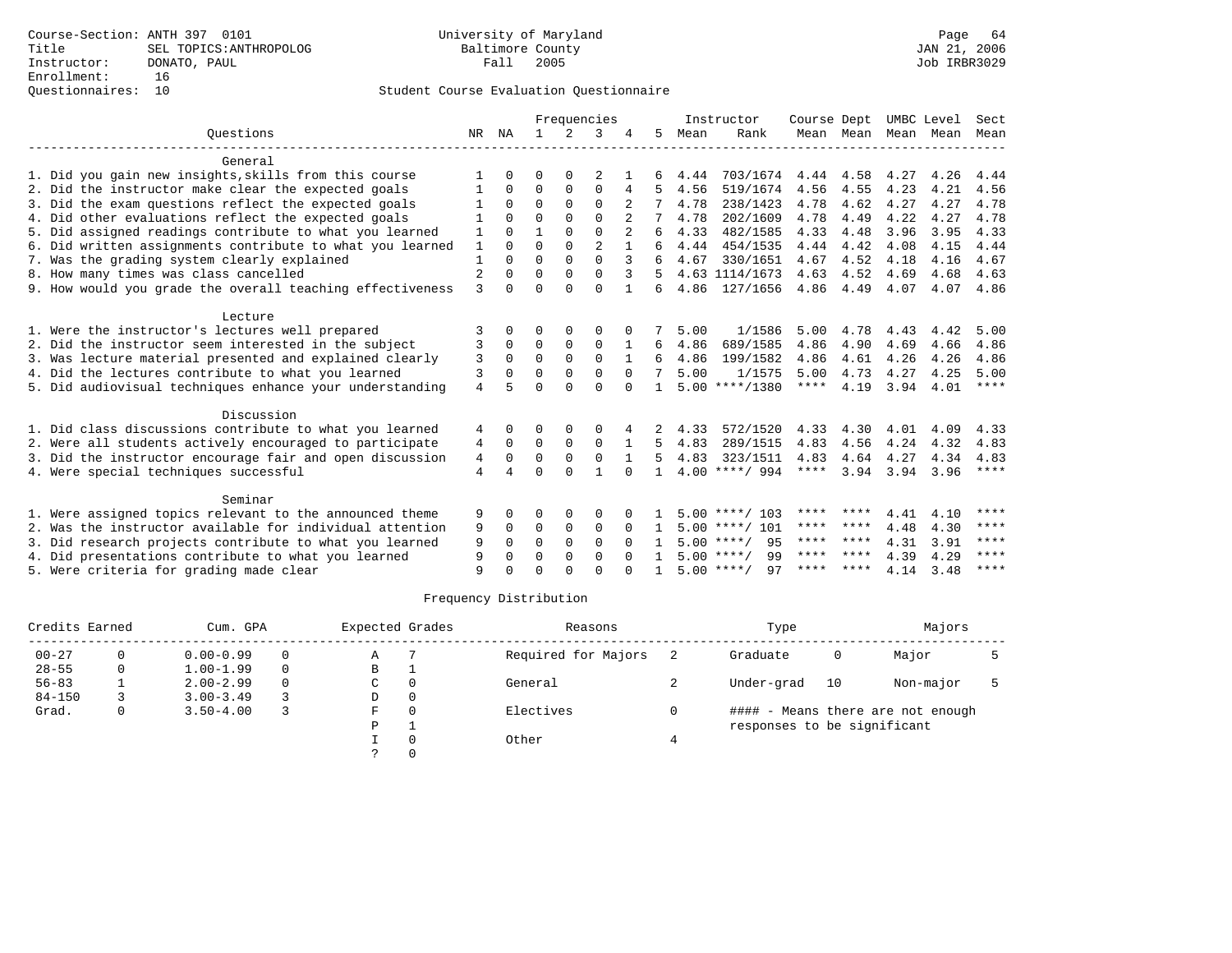|                                                           | Frequencies    |              |              |             |                | Instructor     | Course Dept |      | UMBC Level         |             | Sect      |      |      |             |
|-----------------------------------------------------------|----------------|--------------|--------------|-------------|----------------|----------------|-------------|------|--------------------|-------------|-----------|------|------|-------------|
| Ouestions                                                 |                | NR NA        | $\mathbf{1}$ | $2^{\circ}$ | 3              |                | 5.          | Mean | Rank               |             | Mean Mean | Mean | Mean | Mean        |
| General                                                   |                |              |              |             |                |                |             |      |                    |             |           |      |      |             |
| 1. Did you gain new insights, skills from this course     |                | O            | 0            | 0           | 2              |                |             | 4.44 | 703/1674           | 4.44        | 4.58      | 4.27 | 4.26 | 4.44        |
| 2. Did the instructor make clear the expected goals       |                | 0            | $\Omega$     | $\Omega$    | $\Omega$       | 4              |             | 4.56 | 519/1674           | 4.56        | 4.55      | 4.23 | 4.21 | 4.56        |
| 3. Did the exam questions reflect the expected goals      |                | $\Omega$     | $\Omega$     | $\Omega$    | $\Omega$       |                |             | 4.78 | 238/1423           | 4.78        | 4.62      | 4.27 | 4.27 | 4.78        |
| 4. Did other evaluations reflect the expected goals       |                | $\Omega$     | $\Omega$     | $\Omega$    | $\Omega$       | $\mathfrak{D}$ |             | 4.78 | 202/1609           | 4.78        | 4.49      | 4.22 | 4.27 | 4.78        |
| 5. Did assigned readings contribute to what you learned   |                | 0            |              | $\Omega$    | $\Omega$       |                | 6           | 4.33 | 482/1585           | 4.33        | 4.48      | 3.96 | 3.95 | 4.33        |
| 6. Did written assignments contribute to what you learned | 1              | $\Omega$     | $\Omega$     | $\Omega$    | $\mathfrak{D}$ |                | 6           | 4.44 | 454/1535           | 4.44        | 4.42      | 4.08 | 4.15 | 4.44        |
| 7. Was the grading system clearly explained               | $\mathbf{1}$   | <sup>0</sup> | $\Omega$     | $\Omega$    | $\Omega$       | 3              |             | 4.67 | 330/1651           | 4.67        | 4.52      | 4.18 | 4.16 | 4.67        |
| 8. How many times was class cancelled                     | $\overline{2}$ | <sup>0</sup> | $\Omega$     | $\Omega$    | $\Omega$       |                |             |      | 4.63 1114/1673     | 4.63        | 4.52      | 4.69 | 4.68 | 4.63        |
| 9. How would you grade the overall teaching effectiveness | 3              | <sup>0</sup> | $\Omega$     | $\cap$      | $\Omega$       |                | 6           | 4.86 | 127/1656           | 4.86        | 4.49      | 4.07 | 4.07 | 4.86        |
| Lecture                                                   |                |              |              |             |                |                |             |      |                    |             |           |      |      |             |
| 1. Were the instructor's lectures well prepared           | 3              | 0            | O            | $\Omega$    | $\Omega$       |                |             | 5.00 | 1/1586             | 5.00        | 4.78      | 4.43 | 4.42 | 5.00        |
| 2. Did the instructor seem interested in the subject      | 3              | $\Omega$     | 0            | 0           | $\mathbf 0$    |                | 6           | 4.86 | 689/1585           | 4.86        | 4.90      | 4.69 | 4.66 | 4.86        |
| 3. Was lecture material presented and explained clearly   | 3              | $\Omega$     | $\Omega$     | $\mathbf 0$ | $\Omega$       |                | 6           | 4.86 | 199/1582           | 4.86        | 4.61      | 4.26 | 4.26 | 4.86        |
| 4. Did the lectures contribute to what you learned        | 3              | $\Omega$     | $\Omega$     | $\Omega$    | $\Omega$       | $\Omega$       | 7           | 5.00 | 1/1575             | 5.00        | 4.73      | 4.27 | 4.25 | 5.00        |
| 5. Did audiovisual techniques enhance your understanding  | $\overline{4}$ |              | $\Omega$     | $\Omega$    | $\Omega$       | $\Omega$       |             |      | $5.00$ ****/1380   | ****        | 4.19      | 3.94 | 4.01 | $***$ * * * |
| Discussion                                                |                |              |              |             |                |                |             |      |                    |             |           |      |      |             |
| 1. Did class discussions contribute to what you learned   | 4              | <sup>0</sup> | U            | O           | $\Omega$       | 4              |             | 4.33 | 572/1520           | 4.33        | 4.30      | 4.01 | 4.09 | 4.33        |
| 2. Were all students actively encouraged to participate   | 4              | $\mathbf 0$  | $\mathbf 0$  | $\mathbf 0$ | $\mathbf 0$    |                | 5           | 4.83 | 289/1515           | 4.83        | 4.56      | 4.24 | 4.32 | 4.83        |
| 3. Did the instructor encourage fair and open discussion  | 4              | $\Omega$     | $\Omega$     | $\Omega$    | $\Omega$       | $\mathbf{1}$   | 5           | 4.83 | 323/1511           | 4.83        | 4.64      | 4.27 | 4.34 | 4.83        |
| 4. Were special techniques successful                     | 4              | 4            | $\Omega$     | $\cap$      | $\mathbf{1}$   | $\Omega$       |             |      | $4.00$ ****/ 994   | $***$ * * * | 3.94      | 3.94 | 3.96 | $***$ * * * |
| Seminar                                                   |                |              |              |             |                |                |             |      |                    |             |           |      |      |             |
| 1. Were assigned topics relevant to the announced theme   | 9              | <sup>0</sup> | O            | $\Omega$    | $\Omega$       |                |             |      | $5.00$ ****/ 103   | ****        | ****      | 4.41 | 4.10 | ****        |
| 2. Was the instructor available for individual attention  | 9              | $\Omega$     | 0            | $\mathbf 0$ | $\mathbf 0$    | $\Omega$       |             |      | $5.00$ ****/ 101   | ****        | ****      | 4.48 | 4.30 | ****        |
| 3. Did research projects contribute to what you learned   | 9              | $\Omega$     | $\Omega$     | $\Omega$    | $\Omega$       | $\Omega$       |             |      | $5.00$ ****/<br>95 | ****        | ****      | 4.31 | 3.91 | $* * * * *$ |
| 4. Did presentations contribute to what you learned       | 9              | 0            | $\Omega$     | 0           | $\Omega$       | $\cap$         |             |      | $5.00$ ****/<br>99 | ****        | ****      | 4.39 | 4.29 | ****        |
| 5. Were criteria for grading made clear                   | 9              |              | $\Omega$     | ∩           | $\cap$         |                |             |      | $5.00$ ****/<br>97 | ****        | ****      | 4.14 | 3.48 | $***$ * * * |

| Credits Earned |   | Cum. GPA      |          | Expected Grades |          | Reasons             | Type                        |    | Majors                            |  |
|----------------|---|---------------|----------|-----------------|----------|---------------------|-----------------------------|----|-----------------------------------|--|
| $00 - 27$      |   | $0.00 - 0.99$ | $\Omega$ | Α               |          | Required for Majors | Graduate                    | 0  | Major                             |  |
| $28 - 55$      | 0 | $1.00 - 1.99$ | $\Omega$ | B               |          |                     |                             |    |                                   |  |
| $56 - 83$      |   | $2.00 - 2.99$ | $\Omega$ | C               |          | General             | Under-grad                  | 10 | Non-major                         |  |
| $84 - 150$     |   | $3.00 - 3.49$ |          | D               | $\Omega$ |                     |                             |    |                                   |  |
| Grad.          |   | $3.50 - 4.00$ |          | F               |          | Electives           |                             |    | #### - Means there are not enough |  |
|                |   |               |          | P               |          |                     | responses to be significant |    |                                   |  |
|                |   |               |          |                 | Other    |                     |                             |    |                                   |  |
|                |   |               |          |                 |          |                     |                             |    |                                   |  |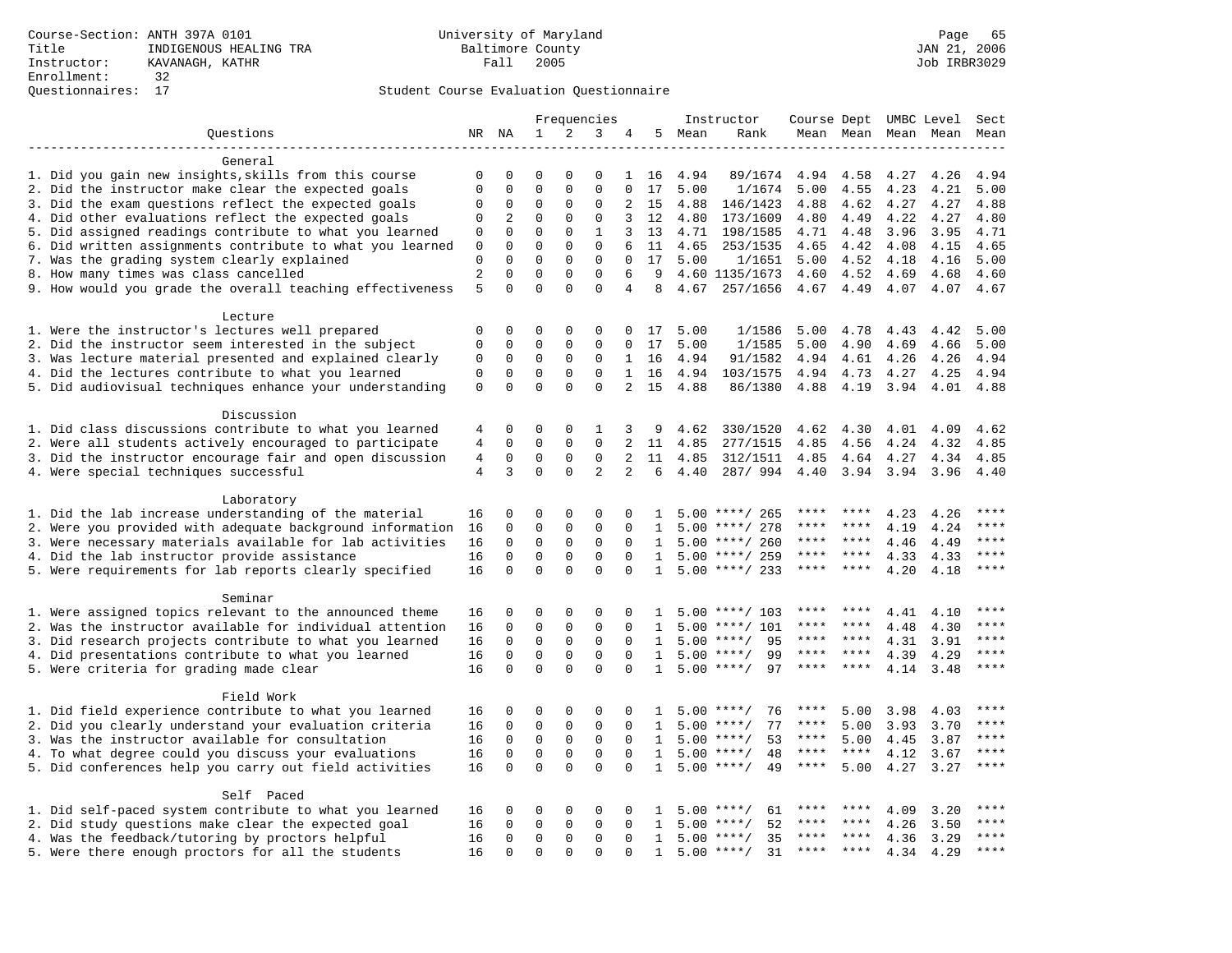|                                                           |                |              |             |              | Frequencies    |                |              |      | Instructor         | Course Dept UMBC Level |                     |      |      | Sect      |
|-----------------------------------------------------------|----------------|--------------|-------------|--------------|----------------|----------------|--------------|------|--------------------|------------------------|---------------------|------|------|-----------|
| Questions                                                 |                | NR NA        | 1           | 2            | 3              | 4              | 5            | Mean | Rank               |                        | Mean Mean Mean Mean |      |      | Mean      |
|                                                           |                |              |             |              |                |                |              |      |                    |                        |                     |      |      |           |
| General                                                   |                |              |             |              |                |                |              |      |                    |                        |                     |      |      |           |
| 1. Did you gain new insights, skills from this course     | 0              | $\mathbf 0$  | $\Omega$    | 0            | $\Omega$       | $\mathbf{1}$   | 16           | 4.94 | 89/1674            | 4.94                   | 4.58                | 4.27 | 4.26 | 4.94      |
| 2. Did the instructor make clear the expected goals       | $\mathbf{0}$   | $\mathbf{0}$ | $\mathbf 0$ | $\mathbf{0}$ | $\mathbf 0$    | $\Omega$       | 17           | 5.00 | 1/1674             | 5.00                   | 4.55                | 4.23 | 4.21 | 5.00      |
| 3. Did the exam questions reflect the expected goals      | $\Omega$       | 0            | 0           | 0            | 0              | 2              | 15           | 4.88 | 146/1423           | 4.88                   | 4.62                | 4.27 | 4.27 | 4.88      |
| 4. Did other evaluations reflect the expected goals       | $\mathbf 0$    | 2            | 0           | $\mathbf{0}$ | $\mathbf 0$    | 3              | 12           | 4.80 | 173/1609           | 4.80                   | 4.49                | 4.22 | 4.27 | 4.80      |
| 5. Did assigned readings contribute to what you learned   | 0              | $\Omega$     | $\Omega$    | $\Omega$     | $\mathbf{1}$   | 3              | 13           | 4.71 | 198/1585           | 4.71                   | 4.48                | 3.96 | 3.95 | 4.71      |
| 6. Did written assignments contribute to what you learned | $\mathbf{0}$   | $\mathbf{0}$ | $\mathbf 0$ | $\mathbf 0$  | $\mathbf 0$    | 6              | 11           | 4.65 | 253/1535           | 4.65                   | 4.42                | 4.08 | 4.15 | 4.65      |
| 7. Was the grading system clearly explained               | $\mathbf 0$    | $\mathbf 0$  | $\mathbf 0$ | 0            | $\mathbf 0$    | 0              | 17           | 5.00 | 1/1651             | 5.00                   | 4.52                | 4.18 | 4.16 | 5.00      |
| 8. How many times was class cancelled                     | $\overline{a}$ | $\Omega$     | $\mathbf 0$ | $\Omega$     | $\mathsf 0$    | 6              | 9            |      | 4.60 1135/1673     | 4.60                   | 4.52                | 4.69 | 4.68 | 4.60      |
| 9. How would you grade the overall teaching effectiveness | 5              | $\Omega$     | $\Omega$    | $\Omega$     | $\Omega$       | 4              | 8            | 4.67 | 257/1656           | 4.67                   | 4.49                | 4.07 | 4.07 | 4.67      |
| Lecture                                                   |                |              |             |              |                |                |              |      |                    |                        |                     |      |      |           |
| 1. Were the instructor's lectures well prepared           | $\mathbf 0$    | $\mathbf 0$  | 0           | $\mathbf 0$  | 0              | 0              | 17           | 5.00 | 1/1586             | 5.00                   | 4.78                | 4.43 | 4.42 | 5.00      |
| 2. Did the instructor seem interested in the subject      | $\mathbf 0$    | $\mathbf 0$  | $\mathbf 0$ | $\mathbf 0$  | $\mathbf 0$    | 0              | 17           | 5.00 | 1/1585             | 5.00                   | 4.90                | 4.69 | 4.66 | 5.00      |
| 3. Was lecture material presented and explained clearly   | 0              | 0            | 0           | 0            | $\mathbf 0$    | $\mathbf{1}$   | 16           | 4.94 | 91/1582            | 4.94                   | 4.61                | 4.26 | 4.26 | 4.94      |
| 4. Did the lectures contribute to what you learned        | $\mathbf{0}$   | $\mathbf 0$  | $\mathbf 0$ | $\mathbf 0$  | $\Omega$       | $\mathbf{1}$   | 16           | 4.94 | 103/1575           |                        | 4.94 4.73           | 4.27 | 4.25 | 4.94      |
| 5. Did audiovisual techniques enhance your understanding  | $\mathbf{0}$   | $\Omega$     | $\Omega$    | $\Omega$     | $\Omega$       | $\overline{a}$ | 15           | 4.88 | 86/1380            | 4.88                   | 4.19                | 3.94 | 4.01 | 4.88      |
| Discussion                                                |                |              |             |              |                |                |              |      |                    |                        |                     |      |      |           |
| 1. Did class discussions contribute to what you learned   | 4              | $\mathbf 0$  | 0           | $\mathbf 0$  | 1              | 3              | 9            | 4.62 | 330/1520           | 4.62                   | 4.30                | 4.01 | 4.09 | 4.62      |
| 2. Were all students actively encouraged to participate   | 4              | $\mathbf 0$  | $\mathbf 0$ | $\mathbf 0$  | $\mathbf 0$    | 2              | 11           | 4.85 | 277/1515           | 4.85                   | 4.56                | 4.24 | 4.32 | 4.85      |
| 3. Did the instructor encourage fair and open discussion  | $\,4$          | $\mathbf 0$  | $\mathbf 0$ | $\mathbf{0}$ | $\mathbf 0$    | $\overline{a}$ | 11           | 4.85 | 312/1511           | 4.85                   | 4.64 4.27           |      | 4.34 | 4.85      |
| 4. Were special techniques successful                     | $\overline{4}$ | 3            | $\mathbf 0$ | $\mathbf{0}$ | $\overline{2}$ | 2              | 6            | 4.40 | 287/994            | 4.40                   | 3.94                | 3.94 | 3.96 | 4.40      |
|                                                           |                |              |             |              |                |                |              |      |                    |                        |                     |      |      |           |
| Laboratory                                                |                |              |             |              |                |                |              |      |                    |                        |                     |      |      |           |
| 1. Did the lab increase understanding of the material     | 16             | $\mathbf 0$  | 0           | 0            | $\Omega$       | 0              | 1.           |      | $5.00$ ****/ 265   | ****                   | ****                | 4.23 | 4.26 | $* * * *$ |
| 2. Were you provided with adequate background information | 16             | $\mathbf 0$  | $\mathbf 0$ | 0            | 0              | 0              | 1            | 5.00 | ****/ 278          | ****                   | ****                | 4.19 | 4.24 | * * * *   |
| 3. Were necessary materials available for lab activities  | 16             | $\mathsf 0$  | $\mathbf 0$ | 0            | 0              | $\Omega$       | 1            | 5.00 | ****/ 260          | ****                   | ****                | 4.46 | 4.49 | ****      |
| 4. Did the lab instructor provide assistance              | 16             | $\mathbf 0$  | $\mathbf 0$ | $\mathbf{0}$ | $\mathbf{0}$   | $\Omega$       | $\mathbf{1}$ |      | $5.00$ ****/ 259   | ****                   | $***$ *             | 4.33 | 4.33 | ****      |
| 5. Were requirements for lab reports clearly specified    | 16             | $\mathbf{0}$ | $\mathbf 0$ | $\Omega$     | $\mathbf 0$    | $\Omega$       | 1            |      | $5.00$ ****/ 233   | $***$ * *              | ****                | 4.20 | 4.18 | $***$     |
| Seminar                                                   |                |              |             |              |                |                |              |      |                    |                        |                     |      |      |           |
| 1. Were assigned topics relevant to the announced theme   | 16             | 0            | $\Omega$    | 0            | $\Omega$       | 0              | 1.           | 5.00 | ****/ 103          | ****                   | ****                | 4.41 | 4.10 | ****      |
| 2. Was the instructor available for individual attention  | 16             | 0            | 0           | 0            | 0              | 0              | 1            | 5.00 | ****/ 101          | ****                   | ****                | 4.48 | 4.30 | ****      |
| 3. Did research projects contribute to what you learned   | 16             | $\mathbf{0}$ | $\mathbf 0$ | $\mathbf{0}$ | $\mathbf 0$    | $\Omega$       | $\mathbf{1}$ | 5.00 | $***/$<br>95       | ****                   | ****                | 4.31 | 3.91 | ****      |
| 4. Did presentations contribute to what you learned       | 16             | $\mathbf 0$  | 0           | $\mathbf{0}$ | $\mathbf{0}$   | 0              | 1            |      | 99<br>$5.00$ ****/ | $***$ * * *            | $* * * * *$         | 4.39 | 4.29 | $***$     |
| 5. Were criteria for grading made clear                   | 16             | $\mathbf 0$  | $\mathbf 0$ | $\Omega$     | $\Omega$       | $\Omega$       | $\mathbf{1}$ |      | $5.00$ ****/<br>97 | $***$ * *              | ****                | 4.14 | 3.48 | ****      |
|                                                           |                |              |             |              |                |                |              |      |                    |                        |                     |      |      |           |
| Field Work                                                |                |              |             |              |                |                |              |      |                    |                        |                     |      |      |           |
| 1. Did field experience contribute to what you learned    | 16             | 0            | 0           | 0            | 0              | 0              | 1            |      | $5.00$ ****/<br>76 | ****                   | 5.00                | 3.98 | 4.03 | ****      |
| 2. Did you clearly understand your evaluation criteria    | 16             | $\mathbf 0$  | 0           | $\mathsf 0$  | $\mathsf 0$    | $\Omega$       | 1            | 5.00 | 77<br>$***$ /      | $***$ * * *            | 5.00                | 3.93 | 3.70 | ****      |
| 3. Was the instructor available for consultation          | 16             | $\mathbf 0$  | 0           | $\mathbf{0}$ | $\mathbf 0$    | $\Omega$       | 1            |      | $5.00$ ****/<br>53 | $***$ * * *            | 5.00                | 4.45 | 3.87 | ****      |
| 4. To what degree could you discuss your evaluations      | 16             | $\mathbf 0$  | $\mathbf 0$ | $\mathbf 0$  | $\mathbf 0$    | $\Omega$       | 1            | 5.00 | $***$ /<br>48      | ****                   | ****                | 4.12 | 3.67 | $***$     |
| 5. Did conferences help you carry out field activities    | 16             | $\Omega$     | $\Omega$    | $\Omega$     | $\Omega$       | $\Omega$       | $\mathbf{1}$ |      | $5.00$ ****/<br>49 | $***$ * * *            | 5.00                | 4.27 | 3.27 | ****      |
| Self Paced                                                |                |              |             |              |                |                |              |      |                    |                        |                     |      |      |           |
| 1. Did self-paced system contribute to what you learned   | 16             | 0            | 0           | 0            | 0              | 0              | Т.           |      | $5.00$ ****/<br>61 | ****                   | ****                | 4.09 | 3.20 |           |
| 2. Did study questions make clear the expected goal       | 16             | $\Omega$     | $\mathbf 0$ | $\Omega$     | $\Omega$       | $\Omega$       | $\mathbf{1}$ | 5.00 | $***$ /<br>52      | ****                   | ****                | 4.26 | 3.50 | ****      |
| 4. Was the feedback/tutoring by proctors helpful          | 16             | $\mathbf 0$  | $\mathbf 0$ | $\mathbf{0}$ | $\mathbf{0}$   | $\Omega$       | $\mathbf{1}$ | 5.00 | 35<br>$***/$       | ****                   | ****                | 4.36 | 3.29 | ****      |
| 5. Were there enough proctors for all the students        | 16             | $\mathbf 0$  | $\mathbf 0$ | $\mathbf 0$  | $\mathbf 0$    | 0              | 1            | 5.00 | 31<br>$***/$       | ****                   | ****                | 4.34 | 4.29 | ****      |
|                                                           |                |              |             |              |                |                |              |      |                    |                        |                     |      |      |           |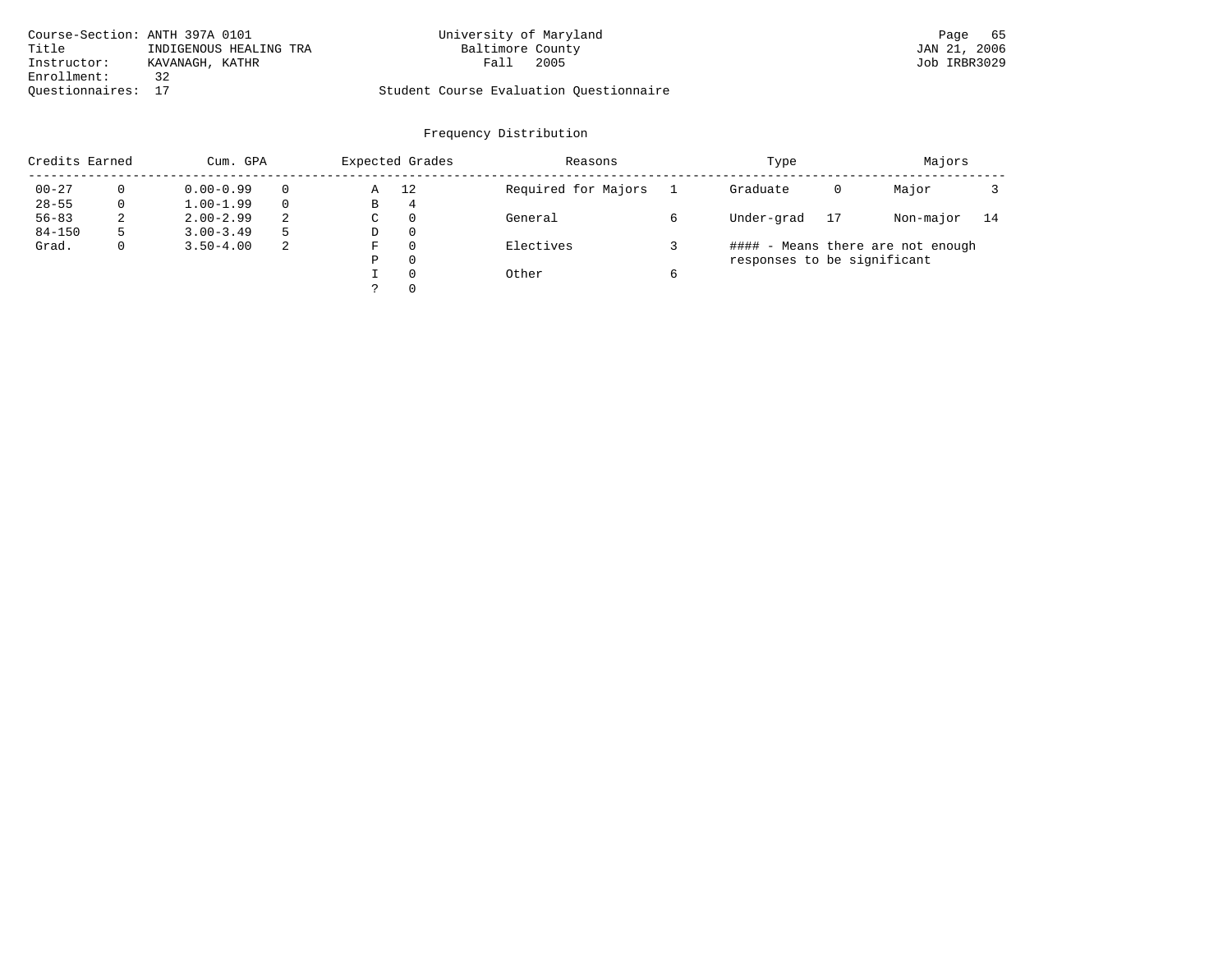| Course-Section: ANTH 397A 0101 |                        | University of Maryland                  |      | Page         | 65 |
|--------------------------------|------------------------|-----------------------------------------|------|--------------|----|
| Title                          | INDIGENOUS HEALING TRA | Baltimore County                        |      | JAN 21, 2006 |    |
| Instructor:                    | KAVANAGH, KATHR        | Falı                                    | 2005 | Job IRBR3029 |    |
| Enrollment:                    |                        |                                         |      |              |    |
| Ouestionnaires: 17             |                        | Student Course Evaluation Ouestionnaire |      |              |    |

# Frequency Distribution

| Credits Earned |   | Cum. GPA      |          |    | Expected Grades | Reasons             | Type                        |    | Majors                            |    |
|----------------|---|---------------|----------|----|-----------------|---------------------|-----------------------------|----|-----------------------------------|----|
| $00 - 27$      | 0 | $0.00 - 0.99$ | $\Omega$ | Α  | 12              | Required for Majors | Graduate                    | 0  | Major                             |    |
| $28 - 55$      | 0 | $1.00 - 1.99$ | $\Omega$ | В  | 4               |                     |                             |    |                                   |    |
| $56 - 83$      | 2 | $2.00 - 2.99$ | 2        | C  | 0               | General             | Under-grad                  | 17 | Non-major                         | 14 |
| $84 - 150$     |   | $3.00 - 3.49$ | .5       | D  | 0               |                     |                             |    |                                   |    |
| Grad.          | 0 | $3.50 - 4.00$ | -2       | F. | 0               | Electives           |                             |    | #### - Means there are not enough |    |
|                |   |               |          | Ρ  | 0               |                     | responses to be significant |    |                                   |    |
|                |   |               |          |    | $\Omega$        | Other               |                             |    |                                   |    |
|                |   |               |          |    | 0               |                     |                             |    |                                   |    |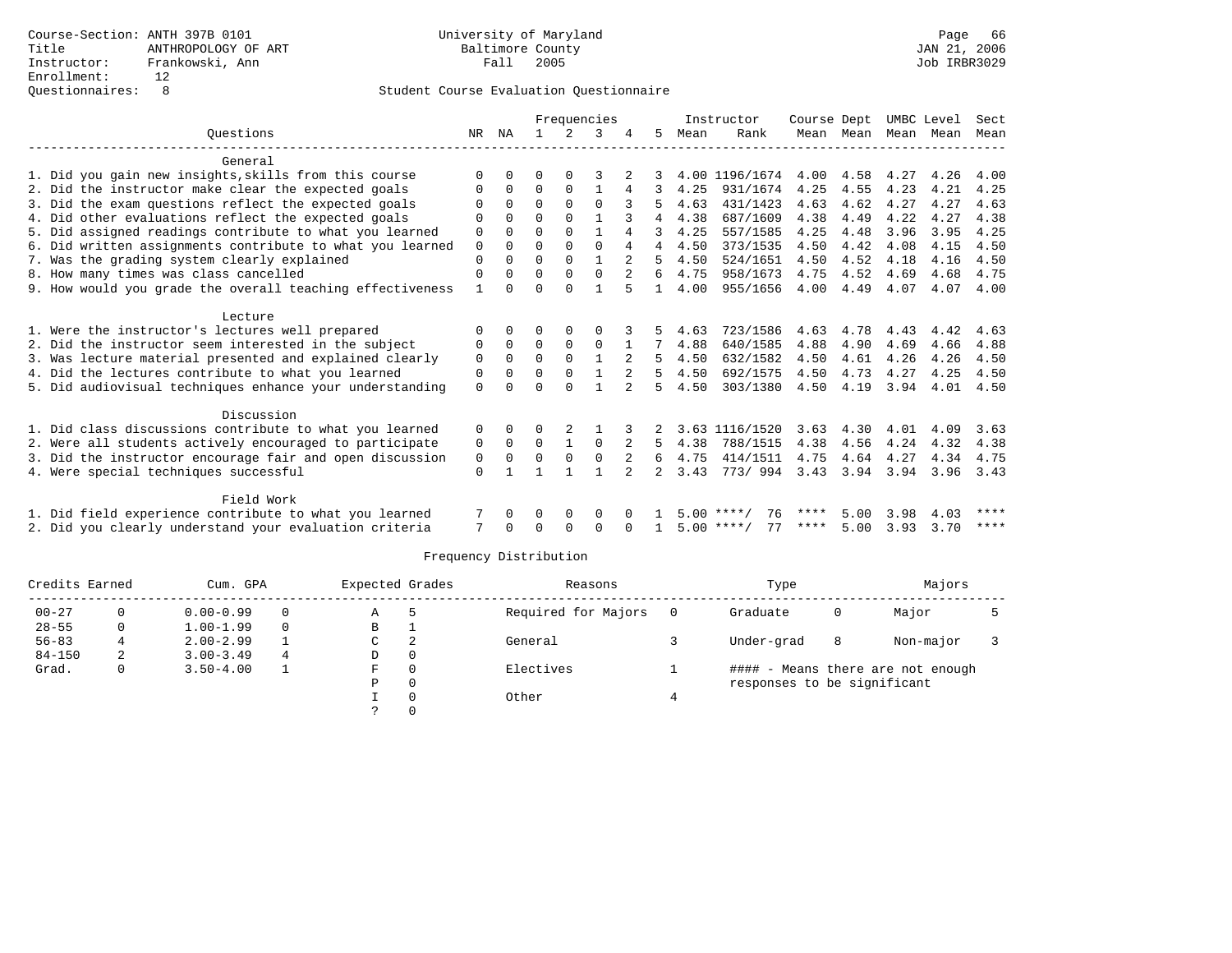|                                                           |             |              |          |              | Frequencies  |   |   |      | Instructor         | Course Dept |           |           | UMBC Level | Sect |
|-----------------------------------------------------------|-------------|--------------|----------|--------------|--------------|---|---|------|--------------------|-------------|-----------|-----------|------------|------|
| Ouestions                                                 | NR.         | ΝA           |          | 2            |              |   | 5 | Mean | Rank               |             | Mean Mean | Mean Mean |            | Mean |
|                                                           |             |              |          |              |              |   |   |      |                    |             |           |           |            |      |
| General                                                   |             |              |          |              |              |   |   |      |                    |             |           |           |            |      |
| 1. Did you gain new insights, skills from this course     |             |              | U        |              | κ            |   |   |      | 4.00 1196/1674     | 4.00        | 4.58      | 4.27      | 4.26       | 4.00 |
| 2. Did the instructor make clear the expected goals       |             | 0            | 0        | $\Omega$     |              | 4 | 3 | 4.25 | 931/1674           | 4.25        | 4.55      | 4.23      | 4.21       | 4.25 |
| 3. Did the exam questions reflect the expected goals      |             | 0            | $\Omega$ | $\Omega$     | $\Omega$     |   | 5 | 4.63 | 431/1423           | 4.63        | 4.62      | 4.27      | 4.27       | 4.63 |
| 4. Did other evaluations reflect the expected goals       |             | $\Omega$     | $\Omega$ | $\Omega$     |              |   |   | 4.38 | 687/1609           | 4.38        | 4.49      | 4.22      | 4.27       | 4.38 |
| 5. Did assigned readings contribute to what you learned   | 0           | $\Omega$     | $\Omega$ | $\Omega$     |              | 4 |   | 4.25 | 557/1585           | 4.25        | 4.48      | 3.96      | 3.95       | 4.25 |
| 6. Did written assignments contribute to what you learned | $\mathbf 0$ | $\Omega$     | $\Omega$ | $\Omega$     | $\Omega$     | 4 | 4 | 4.50 | 373/1535           | 4.50        | 4.42      | 4.08      | 4.15       | 4.50 |
| 7. Was the grading system clearly explained               | 0           | 0            | 0        | 0            | $\mathbf{1}$ | 2 | 5 | 4.50 | 524/1651           | 4.50        | 4.52      | 4.18      | 4.16       | 4.50 |
| 8. How many times was class cancelled                     | 0           | $\Omega$     | U        | $\Omega$     | $\Omega$     | 2 | 6 | 4.75 | 958/1673           | 4.75        | 4.52      | 4.69      | 4.68       | 4.75 |
| 9. How would you grade the overall teaching effectiveness | -1          | <sup>n</sup> | U        | $\cap$       |              | 5 |   | 4.00 | 955/1656           | 4.00        | 4.49      | 4.07      | 4.07       | 4.00 |
|                                                           |             |              |          |              |              |   |   |      |                    |             |           |           |            |      |
| Lecture                                                   |             |              |          |              |              |   |   |      |                    |             |           |           |            |      |
| 1. Were the instructor's lectures well prepared           |             | 0            |          | 0            |              |   |   | 4.63 | 723/1586           | 4.63        | 4.78      | 4.43      | 4.42       | 4.63 |
| 2. Did the instructor seem interested in the subject      | 0           | $\Omega$     | $\Omega$ | $\Omega$     | $\Omega$     |   |   | 4.88 | 640/1585           | 4.88        | 4.90      | 4.69      | 4.66       | 4.88 |
| 3. Was lecture material presented and explained clearly   | 0           | $\Omega$     | 0        | $\mathbf 0$  |              |   | 5 | 4.50 | 632/1582           | 4.50        | 4.61      | 4.26      | 4.26       | 4.50 |
| 4. Did the lectures contribute to what you learned        | 0           | $\Omega$     | $\Omega$ | $\Omega$     |              |   | 5 | 4.50 | 692/1575           | 4.50        | 4.73      | 4.27      | 4.25       | 4.50 |
| 5. Did audiovisual techniques enhance your understanding  | 0           | $\Omega$     |          | $\Omega$     |              |   |   | 4.50 | 303/1380           | 4.50        | 4.19      | 3.94      | 4.01       | 4.50 |
| Discussion                                                |             |              |          |              |              |   |   |      |                    |             |           |           |            |      |
| 1. Did class discussions contribute to what you learned   | 0           | $\Omega$     | 0        |              |              |   |   |      | 3.63 1116/1520     | 3.63        | 4.30      | 4.01      | 4.09       | 3.63 |
| 2. Were all students actively encouraged to participate   | 0           | $\mathbf 0$  | $\Omega$ | 1            | $\Omega$     | 2 | 5 | 4.38 | 788/1515           | 4.38        | 4.56      | 4.24      | 4.32       | 4.38 |
| 3. Did the instructor encourage fair and open discussion  | 0           | $\Omega$     | 0        | $\Omega$     | $\Omega$     | 2 | 6 | 4.75 | 414/1511           | 4.75        | 4.64      | 4.27      | 4.34       | 4.75 |
| 4. Were special techniques successful                     | $\mathbf 0$ |              |          |              |              |   |   | 3.43 | 773/994            | 3.43        | 3.94      | 3.94      | 3.96       | 3.43 |
|                                                           |             |              |          |              |              |   |   |      |                    |             |           |           |            |      |
| Field Work                                                |             |              |          |              |              |   |   |      |                    |             |           |           |            |      |
| 1. Did field experience contribute to what you learned    |             | 0            | 0        | 0            | 0            |   |   |      | 76<br>$5.00$ ****/ | ****        | 5.00      | 3.98      | 4.03       | **** |
| 2. Did you clearly understand your evaluation criteria    | 7           |              |          | <sup>0</sup> | $\Omega$     |   |   |      | 77<br>$5.00$ ****/ | ****        | 5.00      | 3.93      | 3.70       | **** |
|                                                           |             |              |          |              |              |   |   |      |                    |             |           |           |            |      |

| Credits Earned |   | Cum. GPA      |          | Expected Grades |          | Reasons             |     | Type                        |   | Majors                            |  |
|----------------|---|---------------|----------|-----------------|----------|---------------------|-----|-----------------------------|---|-----------------------------------|--|
| $00 - 27$      | 0 | $0.00 - 0.99$ | $\Omega$ | A               |          | Required for Majors | - 0 | Graduate                    | 0 | Major                             |  |
| $28 - 55$      | 0 | $1.00 - 1.99$ | $\Omega$ | B               |          |                     |     |                             |   |                                   |  |
| $56 - 83$      | 4 | $2.00 - 2.99$ |          | C               | 2        | General             |     | Under-grad                  | 8 | Non-major                         |  |
| $84 - 150$     | 2 | $3.00 - 3.49$ | 4        | D               | 0        |                     |     |                             |   |                                   |  |
| Grad.          | 0 | $3.50 - 4.00$ |          | F.              | $\Omega$ | Electives           |     |                             |   | #### - Means there are not enough |  |
|                |   |               |          | Ρ               | $\Omega$ |                     |     | responses to be significant |   |                                   |  |
|                |   |               |          |                 | $\Omega$ | Other               |     |                             |   |                                   |  |
|                |   |               |          |                 |          |                     |     |                             |   |                                   |  |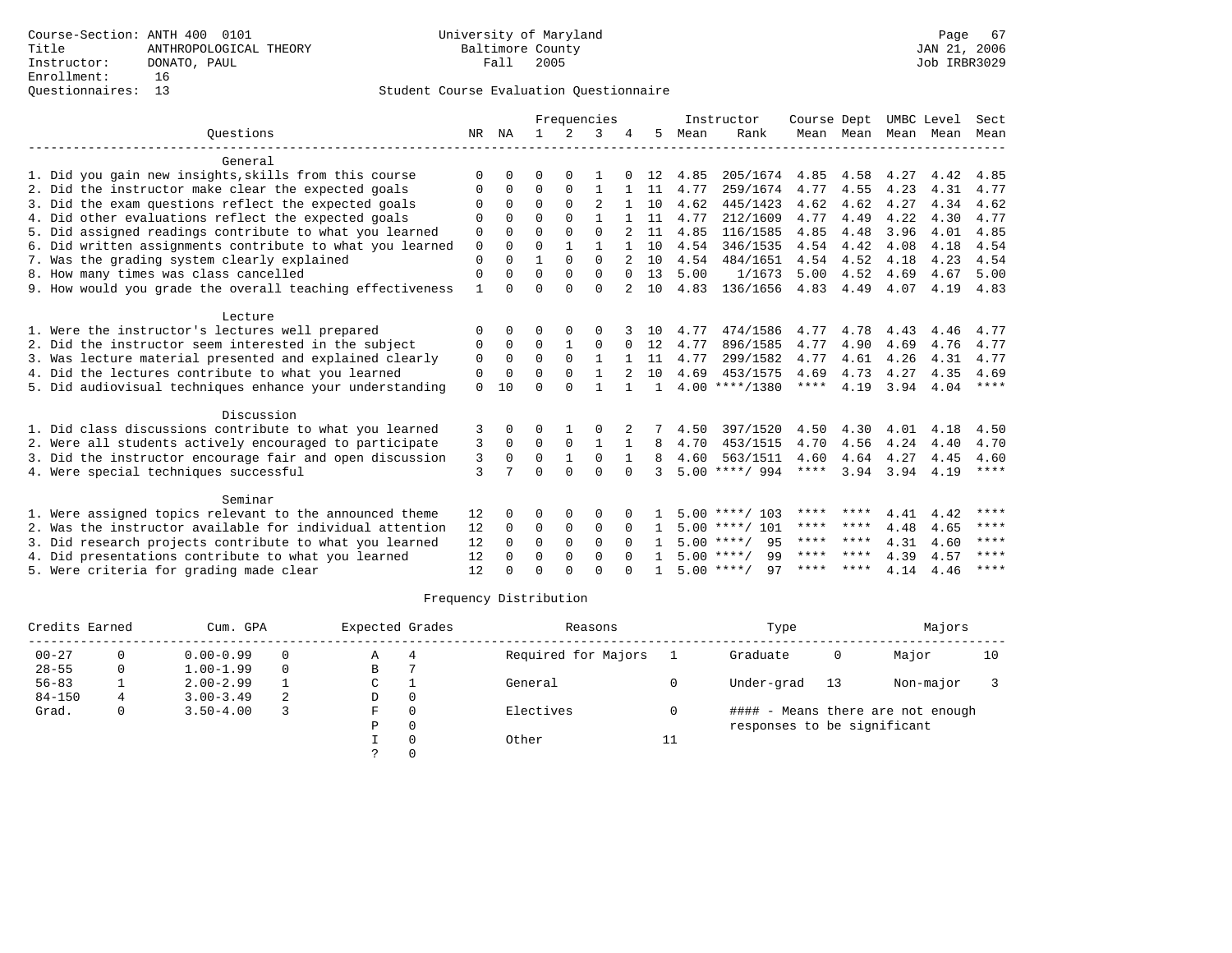|                                                           | Frequencies  |              |              |               |              | Instructor | Course Dept  |      | UMBC Level         |           | Sect |      |      |             |
|-----------------------------------------------------------|--------------|--------------|--------------|---------------|--------------|------------|--------------|------|--------------------|-----------|------|------|------|-------------|
| Ouestions                                                 | NR           | NA           | $\mathbf{1}$ | $\mathcal{L}$ | 3            |            | 5            | Mean | Rank               | Mean Mean |      | Mean | Mean | Mean        |
| General                                                   |              |              |              |               |              |            |              |      |                    |           |      |      |      |             |
| 1. Did you gain new insights, skills from this course     | $\Omega$     | O            | O            | 0             |              |            | 12           | 4.85 | 205/1674           | 4.85      | 4.58 | 4.27 | 4.42 | 4.85        |
| 2. Did the instructor make clear the expected goals       | O            | 0            | $\Omega$     | 0             | 1            |            | 11           | 4.77 | 259/1674           | 4.77      | 4.55 | 4.23 | 4.31 | 4.77        |
| 3. Did the exam questions reflect the expected goals      | O            | 0            | $\Omega$     | $\Omega$      |              |            | 10           | 4.62 | 445/1423           | 4.62      | 4.62 | 4.27 | 4.34 | 4.62        |
| 4. Did other evaluations reflect the expected goals       | $\Omega$     | U            | $\Omega$     | $\cap$        | 1            |            | 11           | 4.77 | 212/1609           | 4.77      | 4.49 | 4.22 | 4.30 | 4.77        |
| 5. Did assigned readings contribute to what you learned   | 0            | $\Omega$     | $\Omega$     | $\Omega$      | $\Omega$     |            | 11           | 4.85 | 116/1585           | 4.85      | 4.48 | 3.96 | 4.01 | 4.85        |
| 6. Did written assignments contribute to what you learned | $\mathbf 0$  | $\Omega$     | $\Omega$     | $\mathbf{1}$  | 1            |            | 10           | 4.54 | 346/1535           | 4.54      | 4.42 | 4.08 | 4.18 | 4.54        |
| 7. Was the grading system clearly explained               | $\mathbf{0}$ | $\Omega$     | 1            | $\Omega$      | $\Omega$     |            | 10           | 4.54 | 484/1651           | 4.54      | 4.52 | 4.18 | 4.23 | 4.54        |
| 8. How many times was class cancelled                     | $\mathbf 0$  | O            | $\Omega$     | $\Omega$      | $\Omega$     | $\Omega$   | 13           | 5.00 | 1/1673             | 5.00      | 4.52 | 4.69 | 4.67 | 5.00        |
| 9. How would you grade the overall teaching effectiveness | $\mathbf{1}$ | <sup>n</sup> | $\Omega$     | $\cap$        | $\Omega$     |            | 10           | 4.83 | 136/1656           | 4.83      | 4.49 | 4.07 | 4.19 | 4.83        |
| Lecture                                                   |              |              |              |               |              |            |              |      |                    |           |      |      |      |             |
| 1. Were the instructor's lectures well prepared           | $\Omega$     | <sup>0</sup> | O            | $\Omega$      | $\Omega$     |            | 10           | 4.77 | 474/1586           | 4.77      | 4.78 | 4.43 | 4.46 | 4.77        |
| 2. Did the instructor seem interested in the subject      | $\Omega$     | $\Omega$     | $\Omega$     | $\mathbf{1}$  | $\Omega$     | 0          | 12           | 4.77 | 896/1585           | 4.77      | 4.90 | 4.69 | 4.76 | 4.77        |
| 3. Was lecture material presented and explained clearly   | $\mathbf 0$  | $\Omega$     | $\Omega$     | $\mathbf 0$   | $\mathbf{1}$ |            | 11           | 4.77 | 299/1582           | 4.77      | 4.61 | 4.26 | 4.31 | 4.77        |
| 4. Did the lectures contribute to what you learned        | $\Omega$     | $\Omega$     | $\Omega$     | $\Omega$      | $\mathbf{1}$ |            | 10           | 4.69 | 453/1575           | 4.69      | 4.73 | 4.27 | 4.35 | 4.69        |
| 5. Did audiovisual techniques enhance your understanding  | $\Omega$     | 10           | $\Omega$     | ∩             |              |            | $\mathbf{1}$ |      | $4.00$ ****/1380   | ****      | 4.19 | 3.94 | 4.04 | $***$ * * * |
| Discussion                                                |              |              |              |               |              |            |              |      |                    |           |      |      |      |             |
| 1. Did class discussions contribute to what you learned   | 3            | 0            | O            |               | $\Omega$     |            |              | 4.50 | 397/1520           | 4.50      | 4.30 | 4.01 | 4.18 | 4.50        |
| 2. Were all students actively encouraged to participate   | 3            | $\Omega$     | $\mathbf 0$  | $\mathbf 0$   | $\mathbf{1}$ |            |              | 4.70 | 453/1515           | 4.70      | 4.56 | 4.24 | 4.40 | 4.70        |
| 3. Did the instructor encourage fair and open discussion  | 3            | $\Omega$     | $\Omega$     | $\mathbf{1}$  | $\Omega$     |            | 8            | 4.60 | 563/1511           | 4.60      | 4.64 | 4.27 | 4.45 | 4.60        |
| 4. Were special techniques successful                     | 3            |              | $\cap$       | $\cap$        | $\Omega$     | $\cap$     | 3            |      | $5.00$ ****/ 994   | ****      | 3.94 | 3.94 | 4.19 | ****        |
| Seminar                                                   |              |              |              |               |              |            |              |      |                    |           |      |      |      |             |
| 1. Were assigned topics relevant to the announced theme   | 12           | 0            | O            | $\Omega$      | $\Omega$     |            |              |      | $5.00$ ****/ 103   | ****      | **** | 4.41 | 4.42 | ****        |
| 2. Was the instructor available for individual attention  | 12           | $\Omega$     | $\Omega$     | $\Omega$      | $\Omega$     | $\Omega$   |              |      | $5.00$ ****/ 101   | ****      | **** | 4.48 | 4.65 | ****        |
| 3. Did research projects contribute to what you learned   | 12           | $\Omega$     | $\mathbf 0$  | $\mathbf 0$   | $\Omega$     | $\Omega$   |              |      | $5.00$ ****/ 95    | **** **** |      | 4.31 | 4.60 | $***$ * * * |
| 4. Did presentations contribute to what you learned       | 12           | <sup>0</sup> | $\Omega$     | $\Omega$      | $\Omega$     | $\cap$     | $\mathbf{1}$ |      | $5.00$ ****/<br>99 | ****      | **** | 4.39 | 4.57 | ****        |
| 5. Were criteria for grading made clear                   | 12           |              | $\Omega$     | $\cap$        | $\cap$       |            |              |      | $5.00$ ****/<br>97 | * * * *   | **** | 4.14 | 4.46 | ****        |

| Credits Earned |   | Cum. GPA      |   | Expected Grades |          | Reasons             |    | Type                        |    | Majors                            |    |
|----------------|---|---------------|---|-----------------|----------|---------------------|----|-----------------------------|----|-----------------------------------|----|
| $00 - 27$      |   | $0.00 - 0.99$ |   | Α               |          | Required for Majors |    | Graduate                    | 0  | Major                             | 10 |
| $28 - 55$      | 0 | $1.00 - 1.99$ |   | В               |          |                     |    |                             |    |                                   |    |
| $56 - 83$      |   | $2.00 - 2.99$ |   | C               |          | General             |    | Under-grad                  | 13 | Non-major                         |    |
| $84 - 150$     | 4 | $3.00 - 3.49$ | 2 | D               | 0        |                     |    |                             |    |                                   |    |
| Grad.          | 0 | $3.50 - 4.00$ |   | F               | $\Omega$ | Electives           |    |                             |    | #### - Means there are not enough |    |
|                |   |               |   | Ρ               | 0        |                     |    | responses to be significant |    |                                   |    |
|                |   |               |   |                 | $\Omega$ | Other               | ᆂᆂ |                             |    |                                   |    |
|                |   |               |   |                 |          |                     |    |                             |    |                                   |    |